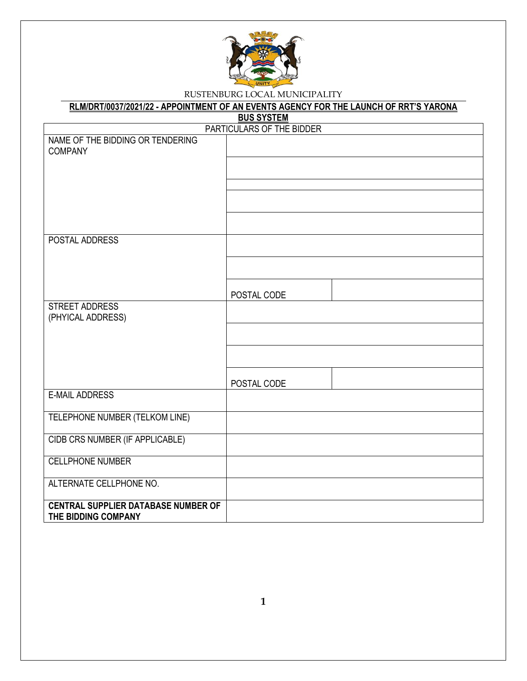

#### **RLM/DRT/0037/2021/22 - APPOINTMENT OF AN EVENTS AGENCY FOR THE LAUNCH OF RRT'S YARONA**

**BUS SYSTEM**

| PARTICULARS OF THE BIDDER                  |             |  |  |  |
|--------------------------------------------|-------------|--|--|--|
| NAME OF THE BIDDING OR TENDERING           |             |  |  |  |
| <b>COMPANY</b>                             |             |  |  |  |
|                                            |             |  |  |  |
|                                            |             |  |  |  |
|                                            |             |  |  |  |
|                                            |             |  |  |  |
|                                            |             |  |  |  |
| POSTAL ADDRESS                             |             |  |  |  |
|                                            |             |  |  |  |
|                                            |             |  |  |  |
|                                            |             |  |  |  |
|                                            | POSTAL CODE |  |  |  |
| <b>STREET ADDRESS</b><br>(PHYICAL ADDRESS) |             |  |  |  |
|                                            |             |  |  |  |
|                                            |             |  |  |  |
|                                            |             |  |  |  |
|                                            |             |  |  |  |
|                                            | POSTAL CODE |  |  |  |
| <b>E-MAIL ADDRESS</b>                      |             |  |  |  |
| TELEPHONE NUMBER (TELKOM LINE)             |             |  |  |  |
|                                            |             |  |  |  |
| CIDB CRS NUMBER (IF APPLICABLE)            |             |  |  |  |
| <b>CELLPHONE NUMBER</b>                    |             |  |  |  |
|                                            |             |  |  |  |
| ALTERNATE CELLPHONE NO.                    |             |  |  |  |
| <b>CENTRAL SUPPLIER DATABASE NUMBER OF</b> |             |  |  |  |
| THE BIDDING COMPANY                        |             |  |  |  |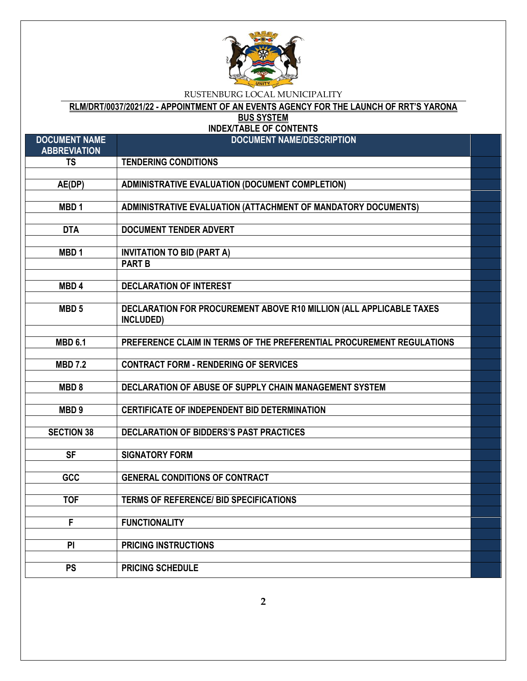

**RLM/DRT/0037/2021/22 - APPOINTMENT OF AN EVENTS AGENCY FOR THE LAUNCH OF RRT'S YARONA** 

**BUS SYSTEM**

### **INDEX/TABLE OF CONTENTS**

| <b>DOCUMENT NAME</b><br><b>ABBREVIATION</b> | <b>DOCUMENT NAME/DESCRIPTION</b>                                                 |  |
|---------------------------------------------|----------------------------------------------------------------------------------|--|
| <b>TS</b>                                   | <b>TENDERING CONDITIONS</b>                                                      |  |
|                                             |                                                                                  |  |
| AE(DP)                                      | <b>ADMINISTRATIVE EVALUATION (DOCUMENT COMPLETION)</b>                           |  |
|                                             |                                                                                  |  |
| MBD <sub>1</sub>                            | ADMINISTRATIVE EVALUATION (ATTACHMENT OF MANDATORY DOCUMENTS)                    |  |
|                                             |                                                                                  |  |
| <b>DTA</b>                                  | <b>DOCUMENT TENDER ADVERT</b>                                                    |  |
|                                             |                                                                                  |  |
| MBD <sub>1</sub>                            | <b>INVITATION TO BID (PART A)</b>                                                |  |
|                                             | <b>PART B</b>                                                                    |  |
|                                             |                                                                                  |  |
| MBD <sub>4</sub>                            | <b>DECLARATION OF INTEREST</b>                                                   |  |
|                                             |                                                                                  |  |
| MBD <sub>5</sub>                            | DECLARATION FOR PROCUREMENT ABOVE R10 MILLION (ALL APPLICABLE TAXES<br>INCLUDED) |  |
|                                             |                                                                                  |  |
| <b>MBD 6.1</b>                              | PREFERENCE CLAIM IN TERMS OF THE PREFERENTIAL PROCUREMENT REGULATIONS            |  |
|                                             |                                                                                  |  |
| <b>MBD 7.2</b>                              | <b>CONTRACT FORM - RENDERING OF SERVICES</b>                                     |  |
|                                             |                                                                                  |  |
| MBD <sub>8</sub>                            | DECLARATION OF ABUSE OF SUPPLY CHAIN MANAGEMENT SYSTEM                           |  |
|                                             |                                                                                  |  |
| MBD <sub>9</sub>                            | <b>CERTIFICATE OF INDEPENDENT BID DETERMINATION</b>                              |  |
|                                             |                                                                                  |  |
| <b>SECTION 38</b>                           | DECLARATION OF BIDDERS'S PAST PRACTICES                                          |  |
|                                             |                                                                                  |  |
| $\overline{\mathsf{SF}}$                    | <b>SIGNATORY FORM</b>                                                            |  |
|                                             |                                                                                  |  |
| GCC                                         | <b>GENERAL CONDITIONS OF CONTRACT</b>                                            |  |
|                                             |                                                                                  |  |
| <b>TOF</b>                                  | <b>TERMS OF REFERENCE/ BID SPECIFICATIONS</b>                                    |  |
|                                             |                                                                                  |  |
| $\overline{F}$                              | <b>FUNCTIONALITY</b>                                                             |  |
| $\overline{P}$                              |                                                                                  |  |
|                                             | <b>PRICING INSTRUCTIONS</b>                                                      |  |
| <b>PS</b>                                   | <b>PRICING SCHEDULE</b>                                                          |  |
|                                             |                                                                                  |  |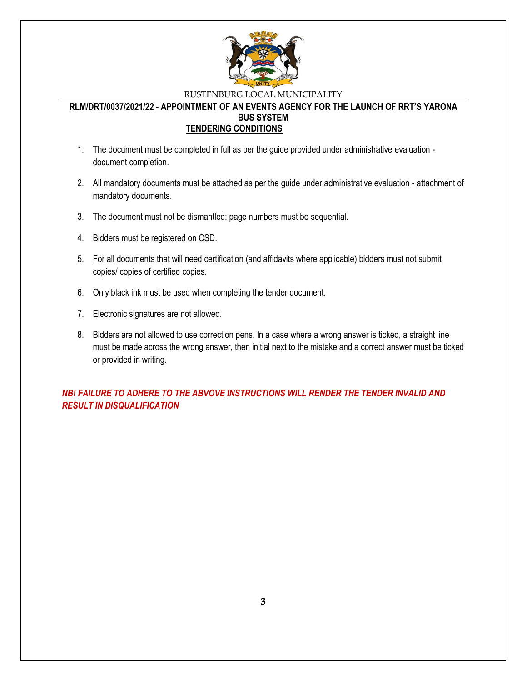

#### **RLM/DRT/0037/2021/22 - APPOINTMENT OF AN EVENTS AGENCY FOR THE LAUNCH OF RRT'S YARONA BUS SYSTEM TENDERING CONDITIONS**

- 1. The document must be completed in full as per the guide provided under administrative evaluation document completion.
- 2. All mandatory documents must be attached as per the guide under administrative evaluation attachment of mandatory documents.
- 3. The document must not be dismantled; page numbers must be sequential.
- 4. Bidders must be registered on CSD.
- 5. For all documents that will need certification (and affidavits where applicable) bidders must not submit copies/ copies of certified copies.
- 6. Only black ink must be used when completing the tender document.
- 7. Electronic signatures are not allowed.
- 8. Bidders are not allowed to use correction pens. In a case where a wrong answer is ticked, a straight line must be made across the wrong answer, then initial next to the mistake and a correct answer must be ticked or provided in writing.

### *NB! FAILURE TO ADHERE TO THE ABVOVE INSTRUCTIONS WILL RENDER THE TENDER INVALID AND RESULT IN DISQUALIFICATION*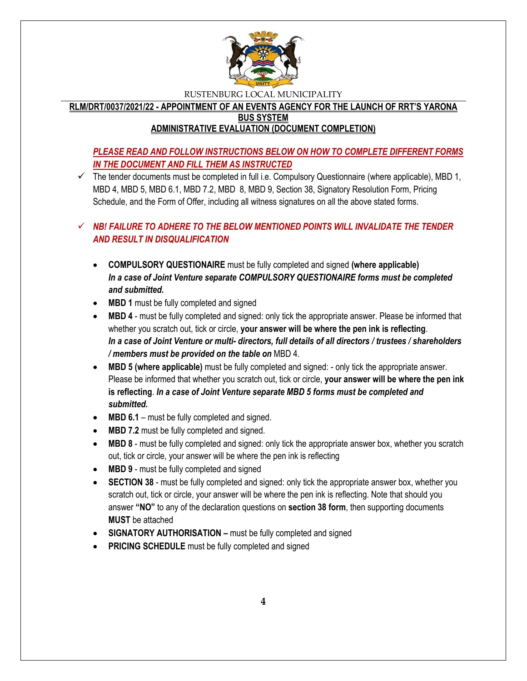

**RLM/DRT/0037/2021/22 - APPOINTMENT OF AN EVENTS AGENCY FOR THE LAUNCH OF RRT'S YARONA BUS SYSTEM**

### **ADMINISTRATIVE EVALUATION (DOCUMENT COMPLETION)**

### *PLEASE READ AND FOLLOW INSTRUCTIONS BELOW ON HOW TO COMPLETE DIFFERENT FORMS IN THE DOCUMENT AND FILL THEM AS INSTRUCTED*

 $\checkmark$  The tender documents must be completed in full i.e. Compulsory Questionnaire (where applicable), MBD 1, MBD 4, MBD 5, MBD 6.1, MBD 7.2, MBD 8, MBD 9, Section 38, Signatory Resolution Form, Pricing Schedule, and the Form of Offer, including all witness signatures on all the above stated forms.

### $\checkmark$  **NB! FAILURE TO ADHERE TO THE BELOW MENTIONED POINTS WILL INVALIDATE THE TENDER** *AND RESULT IN DISQUALIFICATION*

- **COMPULSORY QUESTIONAIRE** must be fully completed and signed **(where applicable)** *In a case of Joint Venture separate COMPULSORY QUESTIONAIRE forms must be completed and submitted.*
- MBD 1 must be fully completed and signed
- **MBD 4** must be fully completed and signed: only tick the appropriate answer. Please be informed that whether you scratch out, tick or circle, **your answer will be where the pen ink is reflecting**. *In a case of Joint Venture or multi- directors, full details of all directors / trustees / shareholders / members must be provided on the table on* MBD 4.
- **MBD 5 (where applicable)** must be fully completed and signed: only tick the appropriate answer. Please be informed that whether you scratch out, tick or circle, **your answer will be where the pen ink is reflecting**. *In a case of Joint Venture separate MBD 5 forms must be completed and submitted.*
- MBD 6.1 must be fully completed and signed.
- MBD 7.2 must be fully completed and signed.
- **MBD 8** must be fully completed and signed: only tick the appropriate answer box, whether you scratch out, tick or circle, your answer will be where the pen ink is reflecting
- MBD 9 must be fully completed and signed
- **SECTION 38** must be fully completed and signed: only tick the appropriate answer box, whether you scratch out, tick or circle, your answer will be where the pen ink is reflecting. Note that should you answer **"NO"** to any of the declaration questions on **section 38 form**, then supporting documents **MUST** be attached
- **SIGNATORY AUTHORISATION –** must be fully completed and signed
- **PRICING SCHEDULE** must be fully completed and signed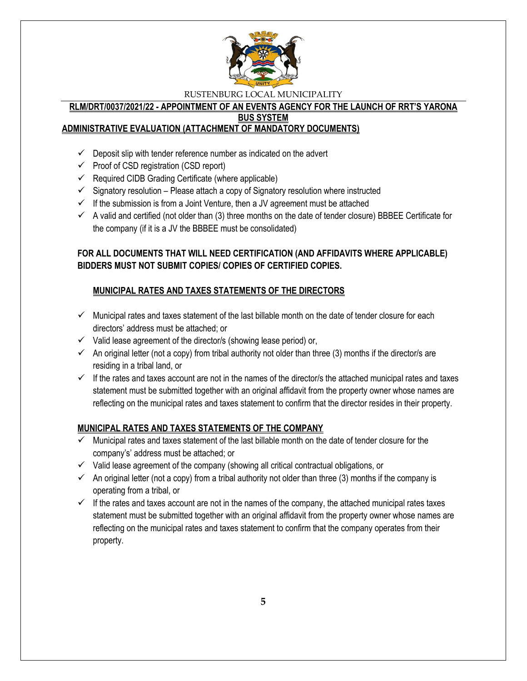

#### **RLM/DRT/0037/2021/22 - APPOINTMENT OF AN EVENTS AGENCY FOR THE LAUNCH OF RRT'S YARONA BUS SYSTEM**

### **ADMINISTRATIVE EVALUATION (ATTACHMENT OF MANDATORY DOCUMENTS)**

- $\checkmark$  Deposit slip with tender reference number as indicated on the advert
- $\checkmark$  Proof of CSD registration (CSD report)
- $\checkmark$  Required CIDB Grading Certificate (where applicable)
- $\checkmark$  Signatory resolution Please attach a copy of Signatory resolution where instructed
- $\checkmark$  If the submission is from a Joint Venture, then a JV agreement must be attached
- $\checkmark$  A valid and certified (not older than (3) three months on the date of tender closure) BBBEE Certificate for the company (if it is a JV the BBBEE must be consolidated)

### **FOR ALL DOCUMENTS THAT WILL NEED CERTIFICATION (AND AFFIDAVITS WHERE APPLICABLE) BIDDERS MUST NOT SUBMIT COPIES/ COPIES OF CERTIFIED COPIES.**

### **MUNICIPAL RATES AND TAXES STATEMENTS OF THE DIRECTORS**

- $\checkmark$  Municipal rates and taxes statement of the last billable month on the date of tender closure for each directors' address must be attached; or
- $\checkmark$  Valid lease agreement of the director/s (showing lease period) or,
- $\checkmark$  An original letter (not a copy) from tribal authority not older than three (3) months if the director/s are residing in a tribal land, or
- $\checkmark$  If the rates and taxes account are not in the names of the director/s the attached municipal rates and taxes statement must be submitted together with an original affidavit from the property owner whose names are reflecting on the municipal rates and taxes statement to confirm that the director resides in their property.

### **MUNICIPAL RATES AND TAXES STATEMENTS OF THE COMPANY**

- $\checkmark$  Municipal rates and taxes statement of the last billable month on the date of tender closure for the company's' address must be attached; or
- $\checkmark$  Valid lease agreement of the company (showing all critical contractual obligations, or
- $\checkmark$  An original letter (not a copy) from a tribal authority not older than three (3) months if the company is operating from a tribal, or
- $\checkmark$  If the rates and taxes account are not in the names of the company, the attached municipal rates taxes statement must be submitted together with an original affidavit from the property owner whose names are reflecting on the municipal rates and taxes statement to confirm that the company operates from their property.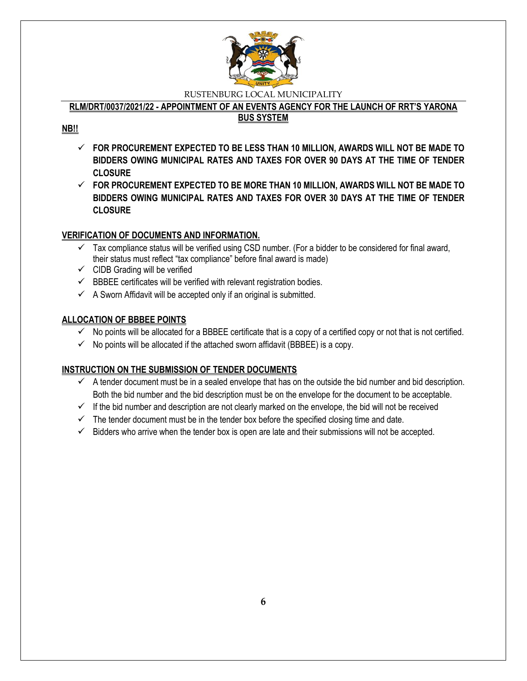

### **RLM/DRT/0037/2021/22 - APPOINTMENT OF AN EVENTS AGENCY FOR THE LAUNCH OF RRT'S YARONA**

### **BUS SYSTEM**

### **NB!!**

- **FOR PROCUREMENT EXPECTED TO BE LESS THAN 10 MILLION, AWARDS WILL NOT BE MADE TO BIDDERS OWING MUNICIPAL RATES AND TAXES FOR OVER 90 DAYS AT THE TIME OF TENDER CLOSURE**
- **FOR PROCUREMENT EXPECTED TO BE MORE THAN 10 MILLION, AWARDS WILL NOT BE MADE TO BIDDERS OWING MUNICIPAL RATES AND TAXES FOR OVER 30 DAYS AT THE TIME OF TENDER CLOSURE**

### **VERIFICATION OF DOCUMENTS AND INFORMATION.**

- $\checkmark$  Tax compliance status will be verified using CSD number. (For a bidder to be considered for final award, their status must reflect "tax compliance" before final award is made)
- $\checkmark$  CIDB Grading will be verified
- $\checkmark$  BBBEE certificates will be verified with relevant registration bodies.
- $\checkmark$  A Sworn Affidavit will be accepted only if an original is submitted.

### **ALLOCATION OF BBBEE POINTS**

- $\checkmark$  No points will be allocated for a BBBEE certificate that is a copy of a certified copy or not that is not certified.
- $\checkmark$  No points will be allocated if the attached sworn affidavit (BBBEE) is a copy.

### **INSTRUCTION ON THE SUBMISSION OF TENDER DOCUMENTS**

- $\checkmark$  A tender document must be in a sealed envelope that has on the outside the bid number and bid description. Both the bid number and the bid description must be on the envelope for the document to be acceptable.
- $\checkmark$  If the bid number and description are not clearly marked on the envelope, the bid will not be received
- $\checkmark$  The tender document must be in the tender box before the specified closing time and date.
- $\checkmark$  Bidders who arrive when the tender box is open are late and their submissions will not be accepted.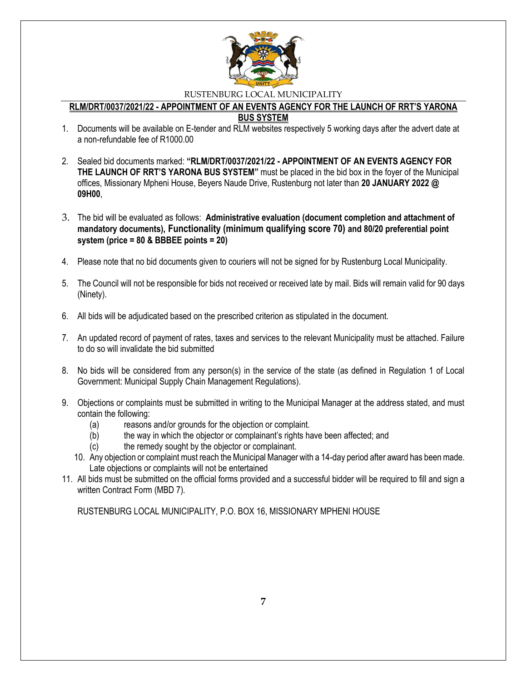

#### **RLM/DRT/0037/2021/22 - APPOINTMENT OF AN EVENTS AGENCY FOR THE LAUNCH OF RRT'S YARONA BUS SYSTEM**

- 1. Documents will be available on E-tender and RLM websites respectively 5 working days after the advert date at a non-refundable fee of R1000.00
- 2. Sealed bid documents marked: **"RLM/DRT/0037/2021/22 - APPOINTMENT OF AN EVENTS AGENCY FOR THE LAUNCH OF RRT'S YARONA BUS SYSTEM"** must be placed in the bid box in the foyer of the Municipal offices, Missionary Mpheni House, Beyers Naude Drive, Rustenburg not later than **20 JANUARY 2022 @ 09H00**,
- 3. The bid will be evaluated as follows: **Administrative evaluation (document completion and attachment of mandatory documents), Functionality (minimum qualifying score 70) and 80/20 preferential point system (price = 80 & BBBEE points = 20)**
- 4. Please note that no bid documents given to couriers will not be signed for by Rustenburg Local Municipality.
- 5. The Council will not be responsible for bids not received or received late by mail. Bids will remain valid for 90 days (Ninety).
- 6. All bids will be adjudicated based on the prescribed criterion as stipulated in the document.
- 7. An updated record of payment of rates, taxes and services to the relevant Municipality must be attached. Failure to do so will invalidate the bid submitted
- 8. No bids will be considered from any person(s) in the service of the state (as defined in Regulation 1 of Local Government: Municipal Supply Chain Management Regulations).
- 9. Objections or complaints must be submitted in writing to the Municipal Manager at the address stated, and must contain the following:
	- (a) reasons and/or grounds for the objection or complaint.
	- (b) the way in which the objector or complainant's rights have been affected; and
	- (c) the remedy sought by the objector or complainant.
	- 10. Any objection or complaint must reach the Municipal Manager with a 14-day period after award has been made. Late objections or complaints will not be entertained
- 11. All bids must be submitted on the official forms provided and a successful bidder will be required to fill and sign a written Contract Form (MBD 7).

RUSTENBURG LOCAL MUNICIPALITY, P.O. BOX 16, MISSIONARY MPHENI HOUSE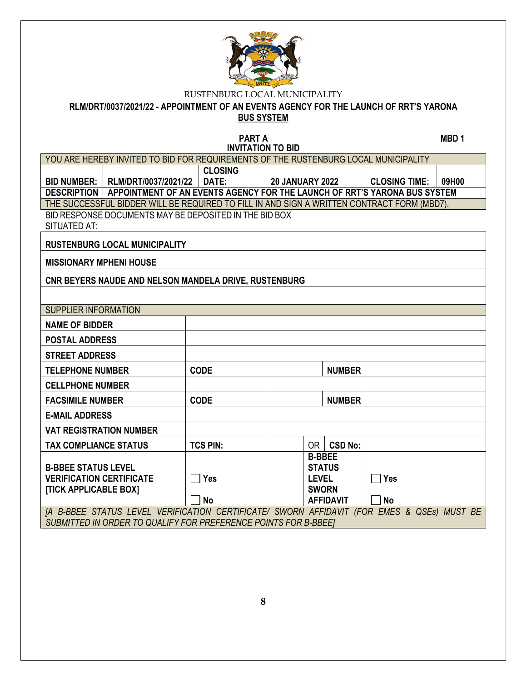

**RLM/DRT/0037/2021/22 - APPOINTMENT OF AN EVENTS AGENCY FOR THE LAUNCH OF RRT'S YARONA** 

# **BUS SYSTEM**

**PART A** MBD 1

| <b>INVITATION TO BID</b>                                                                   |                                                                                            |                 |                        |               |                  |                      |       |
|--------------------------------------------------------------------------------------------|--------------------------------------------------------------------------------------------|-----------------|------------------------|---------------|------------------|----------------------|-------|
|                                                                                            | YOU ARE HEREBY INVITED TO BID FOR REQUIREMENTS OF THE RUSTENBURG LOCAL MUNICIPALITY        |                 |                        |               |                  |                      |       |
|                                                                                            |                                                                                            | <b>CLOSING</b>  |                        |               |                  |                      |       |
|                                                                                            | BID NUMBER:   RLM/DRT/0037/2021/22                                                         | DATE:           | <b>20 JANUARY 2022</b> |               |                  | <b>CLOSING TIME:</b> | 09H00 |
|                                                                                            | DESCRIPTION   APPOINTMENT OF AN EVENTS AGENCY FOR THE LAUNCH OF RRT'S YARONA BUS SYSTEM    |                 |                        |               |                  |                      |       |
|                                                                                            | THE SUCCESSFUL BIDDER WILL BE REQUIRED TO FILL IN AND SIGN A WRITTEN CONTRACT FORM (MBD7). |                 |                        |               |                  |                      |       |
|                                                                                            | BID RESPONSE DOCUMENTS MAY BE DEPOSITED IN THE BID BOX                                     |                 |                        |               |                  |                      |       |
| SITUATED AT:                                                                               |                                                                                            |                 |                        |               |                  |                      |       |
|                                                                                            | <b>RUSTENBURG LOCAL MUNICIPALITY</b>                                                       |                 |                        |               |                  |                      |       |
| <b>MISSIONARY MPHENI HOUSE</b>                                                             |                                                                                            |                 |                        |               |                  |                      |       |
|                                                                                            | CNR BEYERS NAUDE AND NELSON MANDELA DRIVE, RUSTENBURG                                      |                 |                        |               |                  |                      |       |
|                                                                                            |                                                                                            |                 |                        |               |                  |                      |       |
| <b>SUPPLIER INFORMATION</b>                                                                |                                                                                            |                 |                        |               |                  |                      |       |
| <b>NAME OF BIDDER</b>                                                                      |                                                                                            |                 |                        |               |                  |                      |       |
| <b>POSTAL ADDRESS</b>                                                                      |                                                                                            |                 |                        |               |                  |                      |       |
| <b>STREET ADDRESS</b>                                                                      |                                                                                            |                 |                        |               |                  |                      |       |
| <b>TELEPHONE NUMBER</b>                                                                    |                                                                                            | <b>CODE</b>     |                        |               | <b>NUMBER</b>    |                      |       |
| <b>CELLPHONE NUMBER</b>                                                                    |                                                                                            |                 |                        |               |                  |                      |       |
| <b>FACSIMILE NUMBER</b>                                                                    |                                                                                            | <b>CODE</b>     |                        |               | <b>NUMBER</b>    |                      |       |
| <b>E-MAIL ADDRESS</b>                                                                      |                                                                                            |                 |                        |               |                  |                      |       |
|                                                                                            | <b>VAT REGISTRATION NUMBER</b>                                                             |                 |                        |               |                  |                      |       |
| <b>TAX COMPLIANCE STATUS</b>                                                               |                                                                                            | <b>TCS PIN:</b> |                        | OR            | <b>CSD No:</b>   |                      |       |
|                                                                                            |                                                                                            |                 |                        | <b>B-BBEE</b> |                  |                      |       |
| <b>B-BBEE STATUS LEVEL</b><br><b>VERIFICATION CERTIFICATE</b>                              |                                                                                            | $\Box$ Yes      |                        | <b>LEVEL</b>  | <b>STATUS</b>    | $\Box$ Yes           |       |
| [TICK APPLICABLE BOX]                                                                      |                                                                                            |                 |                        | <b>SWORN</b>  |                  |                      |       |
|                                                                                            |                                                                                            | <b>No</b>       |                        |               | <b>AFFIDAVIT</b> | <b>No</b>            |       |
| [A B-BBEE STATUS LEVEL VERIFICATION CERTIFICATE/ SWORN AFFIDAVIT (FOR EMES & QSEs) MUST BE |                                                                                            |                 |                        |               |                  |                      |       |
| SUBMITTED IN ORDER TO QUALIFY FOR PREFERENCE POINTS FOR B-BBEET                            |                                                                                            |                 |                        |               |                  |                      |       |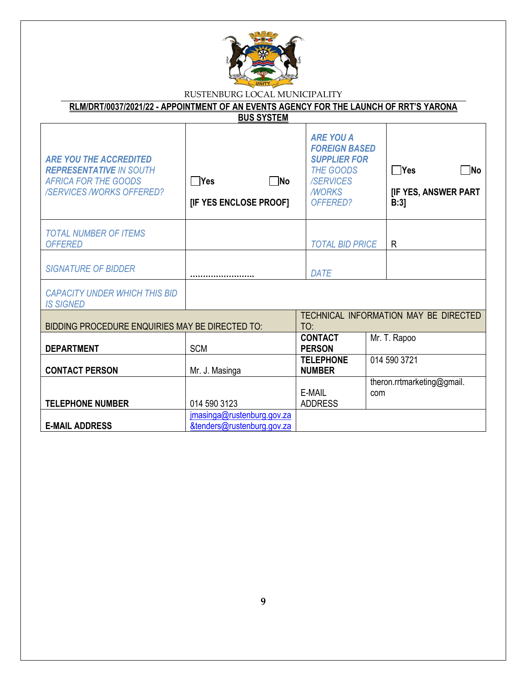

| <b>BUS SYSTEM</b>                                                                                                                 |                                                          |                                                                                                                              |                                                        |  |  |  |
|-----------------------------------------------------------------------------------------------------------------------------------|----------------------------------------------------------|------------------------------------------------------------------------------------------------------------------------------|--------------------------------------------------------|--|--|--|
| <b>ARE YOU THE ACCREDITED</b><br><b>REPRESENTATIVE IN SOUTH</b><br><b>AFRICA FOR THE GOODS</b><br><b>/SERVICES/WORKS OFFERED?</b> | $\neg$ No<br>$\Box$ Yes<br>[IF YES ENCLOSE PROOF]        | <b>ARE YOU A</b><br><b>FOREIGN BASED</b><br><b>SUPPLIER FOR</b><br><b>THE GOODS</b><br>/SERVICES<br><b>MORKS</b><br>OFFERED? | $\Box$ No<br><b>Nes</b><br>[IF YES, ANSWER PART<br>B:3 |  |  |  |
| <b>TOTAL NUMBER OF ITEMS</b><br><b>OFFERED</b>                                                                                    |                                                          | <b>TOTAL BID PRICE</b>                                                                                                       | $\mathsf{R}$                                           |  |  |  |
| <b>SIGNATURE OF BIDDER</b>                                                                                                        |                                                          | <b>DATE</b>                                                                                                                  |                                                        |  |  |  |
| <b>CAPACITY UNDER WHICH THIS BID</b><br><b>IS SIGNED</b>                                                                          |                                                          |                                                                                                                              |                                                        |  |  |  |
| BIDDING PROCEDURE ENQUIRIES MAY BE DIRECTED TO:                                                                                   |                                                          | TO:                                                                                                                          | TECHNICAL INFORMATION MAY BE DIRECTED                  |  |  |  |
| <b>DEPARTMENT</b>                                                                                                                 | <b>SCM</b>                                               | <b>CONTACT</b><br><b>PERSON</b>                                                                                              | Mr. T. Rapoo                                           |  |  |  |
| <b>CONTACT PERSON</b>                                                                                                             | Mr. J. Masinga                                           | <b>TELEPHONE</b><br><b>NUMBER</b>                                                                                            | 014 590 3721                                           |  |  |  |
| <b>TELEPHONE NUMBER</b>                                                                                                           | 014 590 3123                                             | E-MAIL<br><b>ADDRESS</b>                                                                                                     | theron.rrtmarketing@gmail.<br>com                      |  |  |  |
| <b>E-MAIL ADDRESS</b>                                                                                                             | jmasinga@rustenburg.gov.za<br>&tenders@rustenburg.gov.za |                                                                                                                              |                                                        |  |  |  |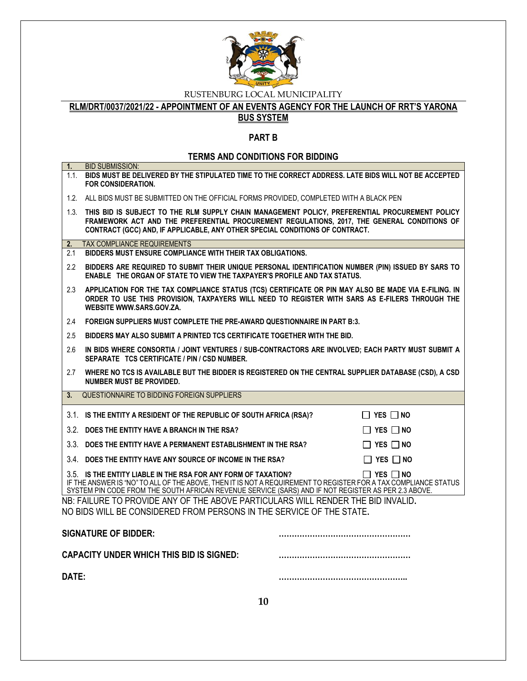

**RLM/DRT/0037/2021/22 - APPOINTMENT OF AN EVENTS AGENCY FOR THE LAUNCH OF RRT'S YARONA** 

# **BUS SYSTEM**

### **PART B**

### **TERMS AND CONDITIONS FOR BIDDING**

| 1.                                                                                                                                                       | <b>BID SUBMISSION:</b><br>1.1. BIDS MUST BE DELIVERED BY THE STIPULATED TIME TO THE CORRECT ADDRESS. LATE BIDS WILL NOT BE ACCEPTED<br>FOR CONSIDERATION.                                                                                                                                                        |  |  |  |  |
|----------------------------------------------------------------------------------------------------------------------------------------------------------|------------------------------------------------------------------------------------------------------------------------------------------------------------------------------------------------------------------------------------------------------------------------------------------------------------------|--|--|--|--|
|                                                                                                                                                          | 1.2. ALL BIDS MUST BE SUBMITTED ON THE OFFICIAL FORMS PROVIDED, COMPLETED WITH A BLACK PEN                                                                                                                                                                                                                       |  |  |  |  |
|                                                                                                                                                          | 1.3. THIS BID IS SUBJECT TO THE RLM SUPPLY CHAIN MANAGEMENT POLICY, PREFERENTIAL PROCUREMENT POLICY<br>FRAMEWORK ACT AND THE PREFERENTIAL PROCUREMENT REGULATIONS, 2017, THE GENERAL CONDITIONS OF<br>CONTRACT (GCC) AND, IF APPLICABLE, ANY OTHER SPECIAL CONDITIONS OF CONTRACT.                               |  |  |  |  |
| 2.                                                                                                                                                       | <b>TAX COMPLIANCE REQUIREMENTS</b>                                                                                                                                                                                                                                                                               |  |  |  |  |
| 2.1                                                                                                                                                      | BIDDERS MUST ENSURE COMPLIANCE WITH THEIR TAX OBLIGATIONS.                                                                                                                                                                                                                                                       |  |  |  |  |
| $2.2^{\circ}$                                                                                                                                            | BIDDERS ARE REQUIRED TO SUBMIT THEIR UNIQUE PERSONAL IDENTIFICATION NUMBER (PIN) ISSUED BY SARS TO<br><b>ENABLE THE ORGAN OF STATE TO VIEW THE TAXPAYER'S PROFILE AND TAX STATUS.</b>                                                                                                                            |  |  |  |  |
| 2.3                                                                                                                                                      | APPLICATION FOR THE TAX COMPLIANCE STATUS (TCS) CERTIFICATE OR PIN MAY ALSO BE MADE VIA E-FILING. IN<br>ORDER TO USE THIS PROVISION, TAXPAYERS WILL NEED TO REGISTER WITH SARS AS E-FILERS THROUGH THE<br>WEBSITE WWW.SARS.GOV.ZA.                                                                               |  |  |  |  |
| 2.4                                                                                                                                                      | FOREIGN SUPPLIERS MUST COMPLETE THE PRE-AWARD QUESTIONNAIRE IN PART B:3.                                                                                                                                                                                                                                         |  |  |  |  |
| 2.5                                                                                                                                                      | BIDDERS MAY ALSO SUBMIT A PRINTED TCS CERTIFICATE TOGETHER WITH THE BID.                                                                                                                                                                                                                                         |  |  |  |  |
| 2.6                                                                                                                                                      | IN BIDS WHERE CONSORTIA / JOINT VENTURES / SUB-CONTRACTORS ARE INVOLVED; EACH PARTY MUST SUBMIT A<br>SEPARATE TCS CERTIFICATE / PIN / CSD NUMBER.                                                                                                                                                                |  |  |  |  |
| 2.7                                                                                                                                                      | WHERE NO TCS IS AVAILABLE BUT THE BIDDER IS REGISTERED ON THE CENTRAL SUPPLIER DATABASE (CSD), A CSD<br><b>NUMBER MUST BE PROVIDED.</b>                                                                                                                                                                          |  |  |  |  |
| 3.                                                                                                                                                       | QUESTIONNAIRE TO BIDDING FOREIGN SUPPLIERS                                                                                                                                                                                                                                                                       |  |  |  |  |
|                                                                                                                                                          | 3.1. IS THE ENTITY A RESIDENT OF THE REPUBLIC OF SOUTH AFRICA (RSA)?<br>$\Box$ Yes $\Box$ No                                                                                                                                                                                                                     |  |  |  |  |
|                                                                                                                                                          | 3.2. DOES THE ENTITY HAVE A BRANCH IN THE RSA?<br>$\Box$ YES $\Box$ NO                                                                                                                                                                                                                                           |  |  |  |  |
|                                                                                                                                                          | 3.3. DOES THE ENTITY HAVE A PERMANENT ESTABLISHMENT IN THE RSA?<br>$\Box$ YES $\Box$ NO                                                                                                                                                                                                                          |  |  |  |  |
|                                                                                                                                                          | 3.4. DOES THE ENTITY HAVE ANY SOURCE OF INCOME IN THE RSA?<br>$\Box$ Yes $\Box$ No                                                                                                                                                                                                                               |  |  |  |  |
|                                                                                                                                                          | 3.5. IS THE ENTITY LIABLE IN THE RSA FOR ANY FORM OF TAXATION?<br>$\Box$ Yes $\Box$ No<br>IF THE ANSWER IS "NO" TO ALL OF THE ABOVE, THEN IT IS NOT A REQUIREMENT TO REGISTER FOR A TAX COMPLIANCE STATUS<br>SYSTEM PIN CODE FROM THE SOUTH AFRICAN REVENUE SERVICE (SARS) AND IF NOT REGISTER AS PER 2.3 ABOVE. |  |  |  |  |
| NB: FAILURE TO PROVIDE ANY OF THE ABOVE PARTICULARS WILL RENDER THE BID INVALID.<br>NO BIDS WILL BE CONSIDERED FROM PERSONS IN THE SERVICE OF THE STATE. |                                                                                                                                                                                                                                                                                                                  |  |  |  |  |
| <b>SIGNATURE OF BIDDER:</b>                                                                                                                              |                                                                                                                                                                                                                                                                                                                  |  |  |  |  |
| <b>CAPACITY UNDER WHICH THIS BID IS SIGNED:</b>                                                                                                          |                                                                                                                                                                                                                                                                                                                  |  |  |  |  |
| DATE:                                                                                                                                                    |                                                                                                                                                                                                                                                                                                                  |  |  |  |  |
|                                                                                                                                                          | 10                                                                                                                                                                                                                                                                                                               |  |  |  |  |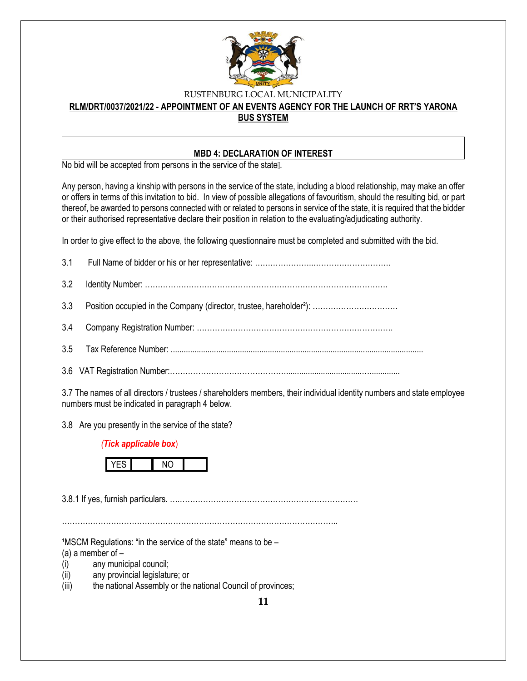

#### **RLM/DRT/0037/2021/22 - APPOINTMENT OF AN EVENTS AGENCY FOR THE LAUNCH OF RRT'S YARONA BUS SYSTEM**

#### **MBD 4: DECLARATION OF INTEREST**

No bid will be accepted from persons in the service of the state ...

Any person, having a kinship with persons in the service of the state, including a blood relationship, may make an offer or offers in terms of this invitation to bid. In view of possible allegations of favouritism, should the resulting bid, or part thereof, be awarded to persons connected with or related to persons in service of the state, it is required that the bidder or their authorised representative declare their position in relation to the evaluating/adjudicating authority.

In order to give effect to the above, the following questionnaire must be completed and submitted with the bid.

3.7 The names of all directors / trustees / shareholders members, their individual identity numbers and state employee numbers must be indicated in paragraph 4 below.

3.8 Are you presently in the service of the state?

#### *(Tick applicable box*)



3.8.1 If yes, furnish particulars. ….……………………………………………………………

……………………………………………………………………………………………..

 $1$ MSCM Regulations: "in the service of the state" means to be  $-$ 

(a) a member of  $-$ 

- (i) any municipal council;
- (ii) any provincial legislature; or
- (iii) the national Assembly or the national Council of provinces;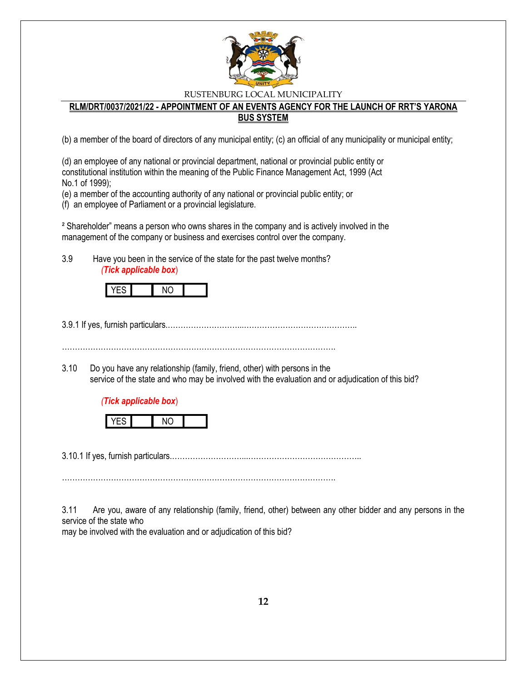

#### **RLM/DRT/0037/2021/22 - APPOINTMENT OF AN EVENTS AGENCY FOR THE LAUNCH OF RRT'S YARONA BUS SYSTEM**

(b) a member of the board of directors of any municipal entity; (c) an official of any municipality or municipal entity;

(d) an employee of any national or provincial department, national or provincial public entity or constitutional institution within the meaning of the Public Finance Management Act, 1999 (Act No.1 of 1999);

(e) a member of the accounting authority of any national or provincial public entity; or

(f) an employee of Parliament or a provincial legislature.

² Shareholder" means a person who owns shares in the company and is actively involved in the management of the company or business and exercises control over the company.

3.9 Have you been in the service of the state for the past twelve months? *(Tick applicable box*)

3.9.1 If yes, furnish particulars.………………………...……………………………………..

…………………………………………………………………………………………….

3.10 Do you have any relationship (family, friend, other) with persons in the service of the state and who may be involved with the evaluation and or adjudication of this bid?

#### *(Tick applicable box*)



3.10.1 If yes, furnish particulars.………………………...……………………………………..

…………………………………………………………………………………………….

3.11 Are you, aware of any relationship (family, friend, other) between any other bidder and any persons in the service of the state who

may be involved with the evaluation and or adjudication of this bid?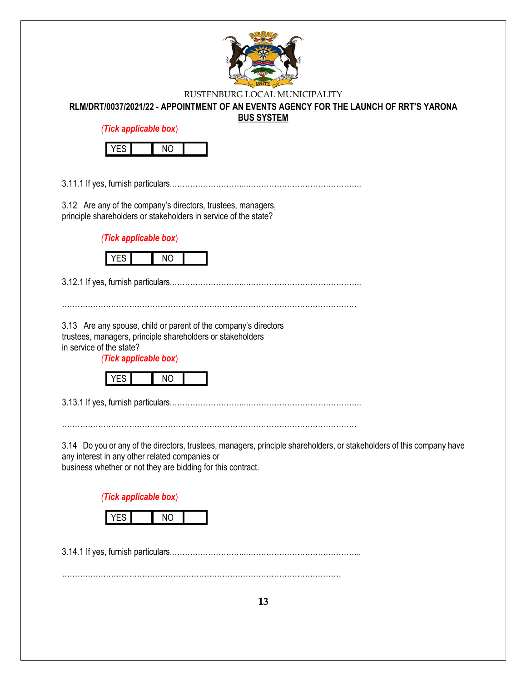

#### **RLM/DRT/0037/2021/22 - APPOINTMENT OF AN EVENTS AGENCY FOR THE LAUNCH OF RRT'S YARONA**

#### **BUS SYSTEM**

*(Tick applicable box*)



3.11.1 If yes, furnish particulars.………………………...……………………………………..

3.12 Are any of the company's directors, trustees, managers, principle shareholders or stakeholders in service of the state?

*(Tick applicable box*)



3.12.1 If yes, furnish particulars.………………………...……………………………………..

……………………………………………………………………………………………………

3.13 Are any spouse, child or parent of the company's directors trustees, managers, principle shareholders or stakeholders in service of the state?

*(Tick applicable box*)



3.13.1 If yes, furnish particulars.………………………...……………………………………..

……………………………………………………………………………………………………

3.14 Do you or any of the directors, trustees, managers, principle shareholders, or stakeholders of this company have any interest in any other related companies or

business whether or not they are bidding for this contract.

*(Tick applicable box*)



3.14.1 If yes, furnish particulars.………………………...……………………………………..

………………………………………………………………………………………………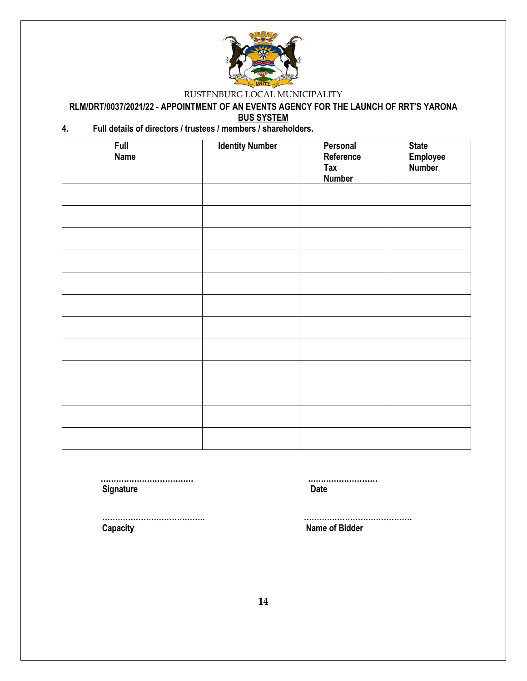

### **RLM/DRT/0037/2021/22 - APPOINTMENT OF AN EVENTS AGENCY FOR THE LAUNCH OF RRT'S YARONA**

**BUS SYSTEM**

### **4. Full details of directors / trustees / members / shareholders.**

| <b>Full</b><br><b>Name</b> | <b>Identity Number</b> | Personal<br>Reference<br><b>Tax</b><br><b>Number</b> | <b>State</b><br>Employee<br>Number |
|----------------------------|------------------------|------------------------------------------------------|------------------------------------|
|                            |                        |                                                      |                                    |
|                            |                        |                                                      |                                    |
|                            |                        |                                                      |                                    |
|                            |                        |                                                      |                                    |
|                            |                        |                                                      |                                    |
|                            |                        |                                                      |                                    |
|                            |                        |                                                      |                                    |
|                            |                        |                                                      |                                    |
|                            |                        |                                                      |                                    |
|                            |                        |                                                      |                                    |
|                            |                        |                                                      |                                    |
|                            |                        |                                                      |                                    |

**Signature Date** 

 **……………………………… ………………………**

 **Capacity Name of Bidder**

 **…………………………………. ……………………………………**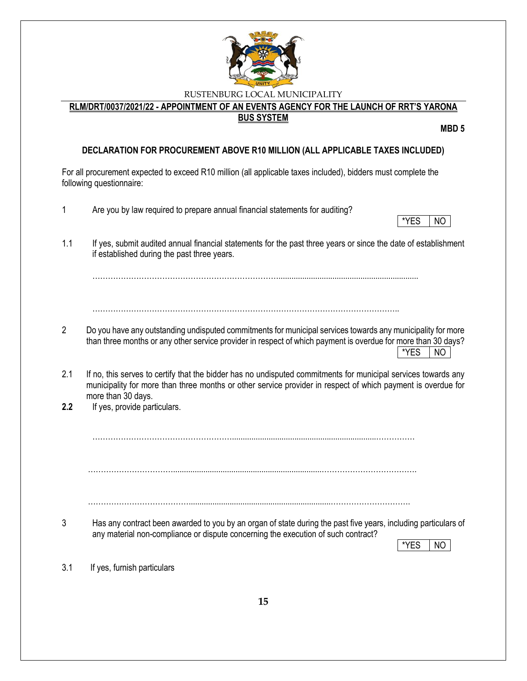

**RLM/DRT/0037/2021/22 - APPOINTMENT OF AN EVENTS AGENCY FOR THE LAUNCH OF RRT'S YARONA BUS SYSTEM**

**MBD 5**

#### **DECLARATION FOR PROCUREMENT ABOVE R10 MILLION (ALL APPLICABLE TAXES INCLUDED)**

For all procurement expected to exceed R10 million (all applicable taxes included), bidders must complete the following questionnaire: 1 Are you by law required to prepare annual financial statements for auditing? \*YES | NO 1.1 If yes, submit audited annual financial statements for the past three years or since the date of establishment if established during the past three years. ……………………………………………………………….................................................................  $\mathcal{L}^{\text{max}}_{\text{max}}$ 2 Do you have any outstanding undisputed commitments for municipal services towards any municipality for more than three months or any other service provider in respect of which payment is overdue for more than 30 days? \*YES NO 2.1 If no, this serves to certify that the bidder has no undisputed commitments for municipal services towards any municipality for more than three months or other service provider in respect of which payment is overdue for more than 30 days. **2.2** If yes, provide particulars. ………………………………………………...................................................................…………… …………………………….....................................................................………………………………. …………………………………..................................................................…………………………. 3 Has any contract been awarded to you by an organ of state during the past five years, including particulars of any material non-compliance or dispute concerning the execution of such contract?  $*YES$  | NO 3.1 If yes, furnish particulars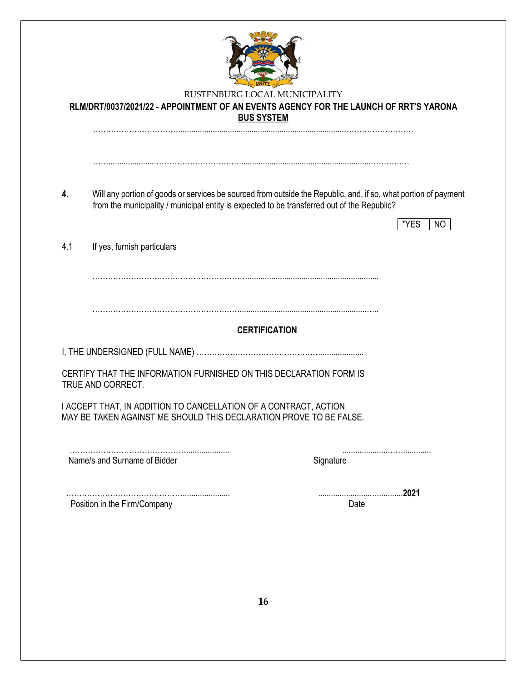

| Will any portion of goods or services be sourced from outside the Republic, and, if so, what portion of payment |
|-----------------------------------------------------------------------------------------------------------------|
|                                                                                                                 |
|                                                                                                                 |
|                                                                                                                 |
|                                                                                                                 |
|                                                                                                                 |
|                                                                                                                 |
|                                                                                                                 |
| *YES<br>NO.                                                                                                     |
|                                                                                                                 |
|                                                                                                                 |
|                                                                                                                 |
|                                                                                                                 |
|                                                                                                                 |
|                                                                                                                 |
|                                                                                                                 |
|                                                                                                                 |
|                                                                                                                 |
|                                                                                                                 |
|                                                                                                                 |
|                                                                                                                 |
|                                                                                                                 |
|                                                                                                                 |
|                                                                                                                 |
|                                                                                                                 |
|                                                                                                                 |
|                                                                                                                 |
|                                                                                                                 |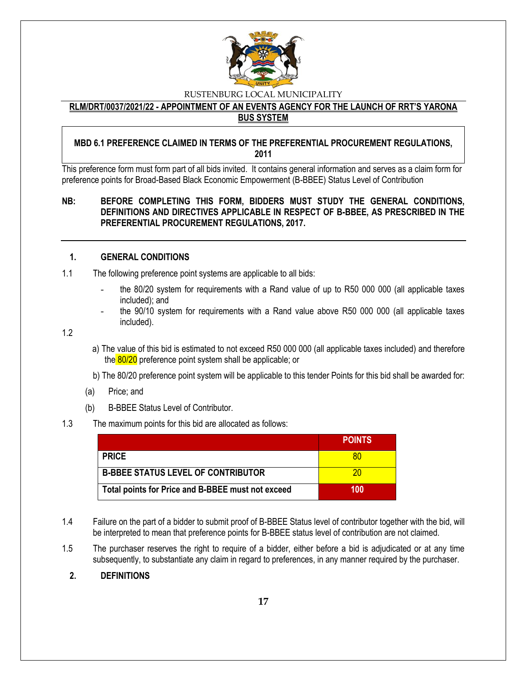

**RLM/DRT/0037/2021/22 - APPOINTMENT OF AN EVENTS AGENCY FOR THE LAUNCH OF RRT'S YARONA BUS SYSTEM**

#### **MBD 6.1 PREFERENCE CLAIMED IN TERMS OF THE PREFERENTIAL PROCUREMENT REGULATIONS, 2011**

This preference form must form part of all bids invited. It contains general information and serves as a claim form for preference points for Broad-Based Black Economic Empowerment (B-BBEE) Status Level of Contribution

#### **NB: BEFORE COMPLETING THIS FORM, BIDDERS MUST STUDY THE GENERAL CONDITIONS, DEFINITIONS AND DIRECTIVES APPLICABLE IN RESPECT OF B-BBEE, AS PRESCRIBED IN THE PREFERENTIAL PROCUREMENT REGULATIONS, 2017.**

#### **1. GENERAL CONDITIONS**

- 1.1 The following preference point systems are applicable to all bids:
	- the 80/20 system for requirements with a Rand value of up to R50 000 000 (all applicable taxes included); and
	- the 90/10 system for requirements with a Rand value above R50 000 000 (all applicable taxes included).

1.2

- a) The value of this bid is estimated to not exceed R50 000 000 (all applicable taxes included) and therefore the 80/20 preference point system shall be applicable; or
- b) The 80/20 preference point system will be applicable to this tender Points for this bid shall be awarded for:
- (a) Price; and
- (b) B-BBEE Status Level of Contributor.

#### 1.3 The maximum points for this bid are allocated as follows:

|                                                   | <b>POINTS</b> |
|---------------------------------------------------|---------------|
| <b>PRICE</b>                                      | 80            |
| <b>B-BBEE STATUS LEVEL OF CONTRIBUTOR</b>         | 20            |
| Total points for Price and B-BBEE must not exceed | 100           |

- 1.4 Failure on the part of a bidder to submit proof of B-BBEE Status level of contributor together with the bid, will be interpreted to mean that preference points for B-BBEE status level of contribution are not claimed.
- 1.5 The purchaser reserves the right to require of a bidder, either before a bid is adjudicated or at any time subsequently, to substantiate any claim in regard to preferences, in any manner required by the purchaser.

#### **2. DEFINITIONS**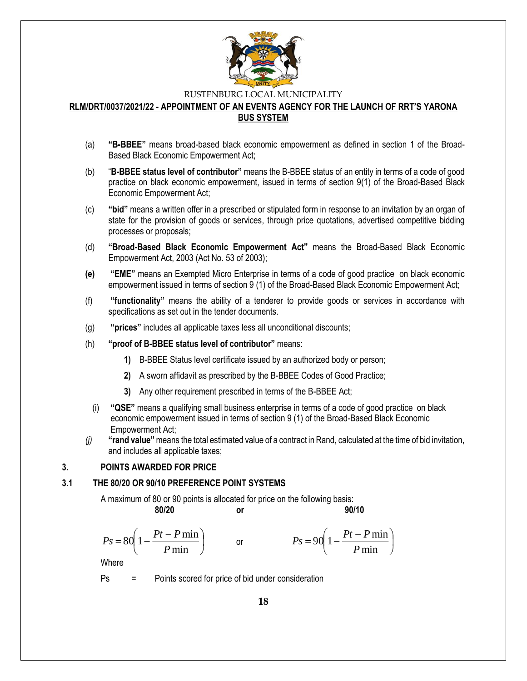

#### **RLM/DRT/0037/2021/22 - APPOINTMENT OF AN EVENTS AGENCY FOR THE LAUNCH OF RRT'S YARONA BUS SYSTEM**

- (a) **"B-BBEE"** means broad-based black economic empowerment as defined in section 1 of the Broad-Based Black Economic Empowerment Act;
- (b) "**B-BBEE status level of contributor"** means the B-BBEE status of an entity in terms of a code of good practice on black economic empowerment, issued in terms of section 9(1) of the Broad-Based Black Economic Empowerment Act;
- (c) **"bid"** means a written offer in a prescribed or stipulated form in response to an invitation by an organ of state for the provision of goods or services, through price quotations, advertised competitive bidding processes or proposals;
- (d) **"Broad-Based Black Economic Empowerment Act"** means the Broad-Based Black Economic Empowerment Act, 2003 (Act No. 53 of 2003);
- **(e) "EME"** means an Exempted Micro Enterprise in terms of a code of good practice on black economic empowerment issued in terms of section 9 (1) of the Broad-Based Black Economic Empowerment Act;
- (f) **"functionality"** means the ability of a tenderer to provide goods or services in accordance with specifications as set out in the tender documents.
- (g) **"prices"** includes all applicable taxes less all unconditional discounts;
- (h) **"proof of B-BBEE status level of contributor"** means:
	- **1)** B-BBEE Status level certificate issued by an authorized body or person;
	- **2)** A sworn affidavit as prescribed by the B-BBEE Codes of Good Practice;
	- **3)** Any other requirement prescribed in terms of the B-BBEE Act;
	- (i) **"QSE"** means a qualifying small business enterprise in terms of a code of good practice on black economic empowerment issued in terms of section 9 (1) of the Broad-Based Black Economic Empowerment Act;
- *(j)* **"rand value"**means the total estimated value of a contract in Rand, calculated at the time of bid invitation, and includes all applicable taxes;

#### **3. POINTS AWARDED FOR PRICE**

#### **3.1 THE 80/20 OR 90/10 PREFERENCE POINT SYSTEMS**

A maximum of 80 or 90 points is allocated for price on the following basis:

or

**80/20 or 90/10**

I

$$
Ps = 80 \left( 1 - \frac{Pt - P \min}{P \min} \right)
$$

$$
Ps = 90\left(1 - \frac{Pt - P\min P}{\min}\right)
$$

Where

Ps = Points scored for price of bid under consideration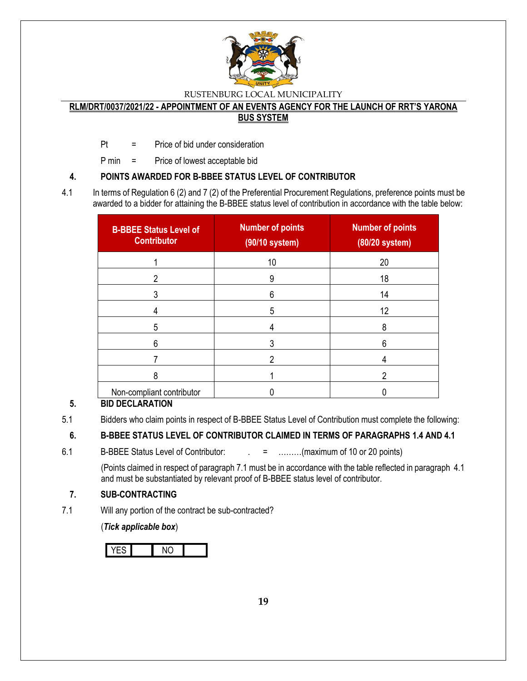

#### **RLM/DRT/0037/2021/22 - APPOINTMENT OF AN EVENTS AGENCY FOR THE LAUNCH OF RRT'S YARONA BUS SYSTEM**

Pt = Price of bid under consideration

P min = Price of lowest acceptable bid

### **4. POINTS AWARDED FOR B-BBEE STATUS LEVEL OF CONTRIBUTOR**

4.1 In terms of Regulation 6 (2) and 7 (2) of the Preferential Procurement Regulations, preference points must be awarded to a bidder for attaining the B-BBEE status level of contribution in accordance with the table below:

| <b>B-BBEE Status Level of</b><br><b>Contributor</b> | <b>Number of points</b><br>(90/10 system) | <b>Number of points</b><br>$(80/20$ system) |
|-----------------------------------------------------|-------------------------------------------|---------------------------------------------|
|                                                     | 10                                        | 20                                          |
| 2                                                   | 9                                         | 18                                          |
|                                                     | 6                                         | 14                                          |
|                                                     | 5                                         | 12                                          |
| 5                                                   |                                           | 8                                           |
| 6                                                   |                                           | 6                                           |
|                                                     | 2                                         |                                             |
| ጸ                                                   |                                           | 2                                           |
| Non-compliant contributor                           |                                           |                                             |

### **5. BID DECLARATION**

### **6. B-BBEE STATUS LEVEL OF CONTRIBUTOR CLAIMED IN TERMS OF PARAGRAPHS 1.4 AND 4.1**

6.1 B-BBEE Status Level of Contributor:  $\qquad \qquad = \qquad \qquad \dots \dots \dots (maximum of 10 or 20 points)$ 

(Points claimed in respect of paragraph 7.1 must be in accordance with the table reflected in paragraph 4.1 and must be substantiated by relevant proof of B-BBEE status level of contributor.

### **7. SUB-CONTRACTING**

7.1 Will any portion of the contract be sub-contracted?

(*Tick applicable box*)

<sup>5.1</sup> Bidders who claim points in respect of B-BBEE Status Level of Contribution must complete the following: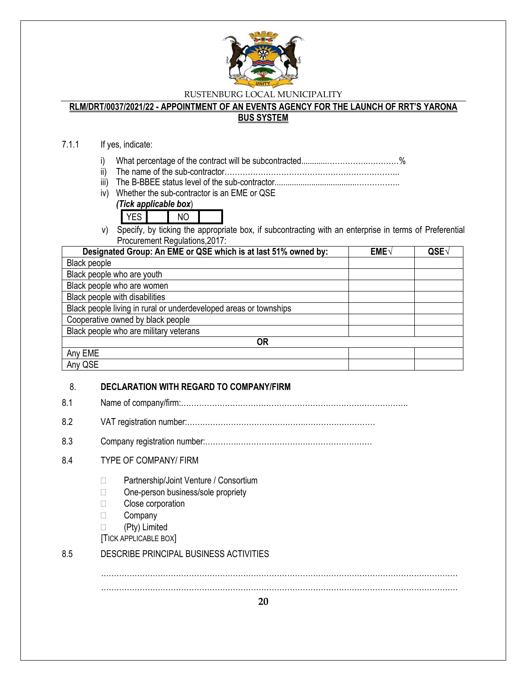

# **RLM/DRT/0037/2021/22 - APPOINTMENT OF AN EVENTS AGENCY FOR THE LAUNCH OF RRT'S YARONA**

### **BUS SYSTEM**

### 7.1.1 If yes, indicate:

- i) What percentage of the contract will be subcontracted............…………….…………%
- ii) The name of the sub-contractor…………………………………………………………..
- iii) The B-BBEE status level of the sub-contractor......................................……………..
- iv) Whether the sub-contractor is an EME or QSE

### *(Tick applicable box*)

- YES NO
- v) Specify, by ticking the appropriate box, if subcontracting with an enterprise in terms of Preferential Procurement Regulations,2017:

| Designated Group: An EME or QSE which is at last 51% owned by:    | $EME\sqrt{}$ | QSE |
|-------------------------------------------------------------------|--------------|-----|
| Black people                                                      |              |     |
| Black people who are youth                                        |              |     |
| Black people who are women                                        |              |     |
| Black people with disabilities                                    |              |     |
| Black people living in rural or underdeveloped areas or townships |              |     |
| Cooperative owned by black people                                 |              |     |
| Black people who are military veterans                            |              |     |
| <b>OR</b>                                                         |              |     |
| Any EME                                                           |              |     |
| Any QSE                                                           |              |     |

### 8. **DECLARATION WITH REGARD TO COMPANY/FIRM**

- 8.1 Name of company/firm:…………………………………………………………………………….
- 8.2 VAT registration number:……………………………………….………………………
- 8.3 Company registration number:………….……………………….……………………

### 8.4 TYPE OF COMPANY/ FIRM

- □ Partnership/Joint Venture / Consortium
- □ One-person business/sole propriety
- **Close corporation**
- □ Company
- (Pty) Limited
- [TICK APPLICABLE BOX]

### 8.5 DESCRIBE PRINCIPAL BUSINESS ACTIVITIES

………………………………………………………………………………………………………………………… …………………………………………………………………………………………………………………………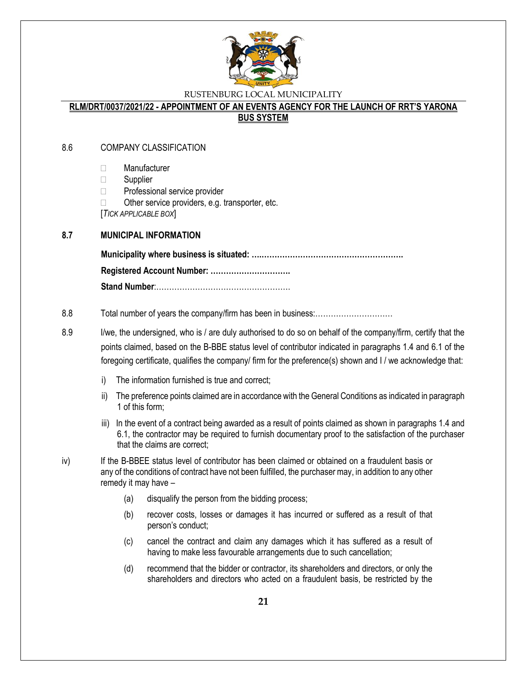

#### **RLM/DRT/0037/2021/22 - APPOINTMENT OF AN EVENTS AGENCY FOR THE LAUNCH OF RRT'S YARONA BUS SYSTEM**

#### 8.6 COMPANY CLASSIFICATION

- Manufacturer
- $\Box$  Supplier
- □ Professional service provider
- $\Box$  Other service providers, e.g. transporter, etc.

[*TICK APPLICABLE BOX*]

#### **8.7 MUNICIPAL INFORMATION**

**Municipality where business is situated: ….………………………………………………. Registered Account Number: …………………………. Stand Number**:…………………………………………….

#### 8.8 Total number of years the company/firm has been in business:…………………………

- 8.9 I/we, the undersigned, who is / are duly authorised to do so on behalf of the company/firm, certify that the points claimed, based on the B-BBE status level of contributor indicated in paragraphs 1.4 and 6.1 of the foregoing certificate, qualifies the company/ firm for the preference(s) shown and I / we acknowledge that:
	- i) The information furnished is true and correct;
	- ii) The preference points claimed are in accordance with the General Conditions as indicated in paragraph 1 of this form;
	- iii) In the event of a contract being awarded as a result of points claimed as shown in paragraphs 1.4 and 6.1, the contractor may be required to furnish documentary proof to the satisfaction of the purchaser that the claims are correct;
- iv) If the B-BBEE status level of contributor has been claimed or obtained on a fraudulent basis or any of the conditions of contract have not been fulfilled, the purchaser may, in addition to any other remedy it may have –
	- (a) disqualify the person from the bidding process;
	- (b) recover costs, losses or damages it has incurred or suffered as a result of that person's conduct;
	- (c) cancel the contract and claim any damages which it has suffered as a result of having to make less favourable arrangements due to such cancellation;
	- (d) recommend that the bidder or contractor, its shareholders and directors, or only the shareholders and directors who acted on a fraudulent basis, be restricted by the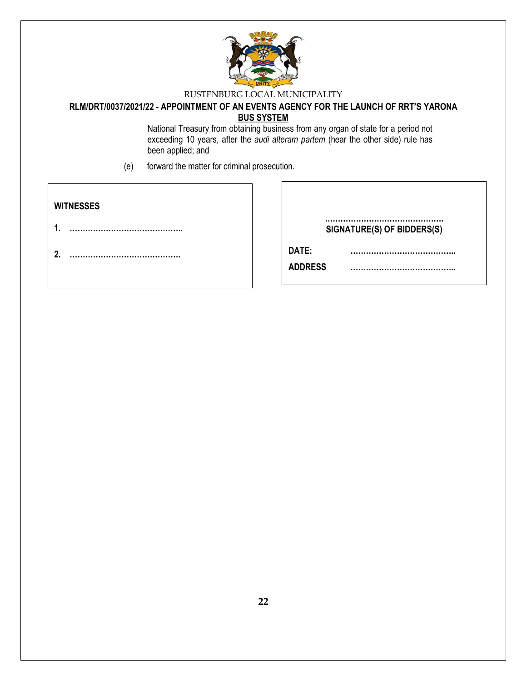

# **RLM/DRT/0037/2021/22 - APPOINTMENT OF AN EVENTS AGENCY FOR THE LAUNCH OF RRT'S YARONA**

### **BUS SYSTEM**

National Treasury from obtaining business from any organ of state for a period not exceeding 10 years, after the *audi alteram partem* (hear the other side) rule has been applied; and

(e) forward the matter for criminal prosecution.

| <b>WITNESSES</b> |                                 |
|------------------|---------------------------------|
|                  | SIGNATURE(S) OF BIDDERS(S)      |
|                  | DATE:<br><b>ADDRESS</b><br><br> |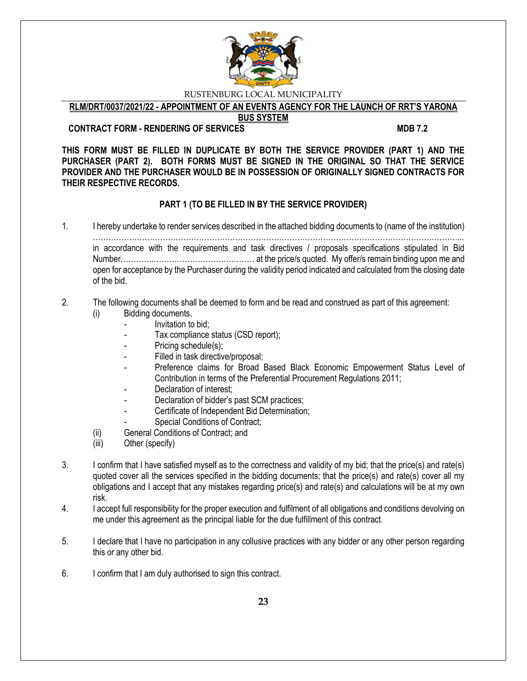

**RLM/DRT/0037/2021/22 - APPOINTMENT OF AN EVENTS AGENCY FOR THE LAUNCH OF RRT'S YARONA** 

**BUS SYSTEM**

**CONTRACT FORM - RENDERING OF SERVICES MDB 7.2** 

**THIS FORM MUST BE FILLED IN DUPLICATE BY BOTH THE SERVICE PROVIDER (PART 1) AND THE PURCHASER (PART 2). BOTH FORMS MUST BE SIGNED IN THE ORIGINAL SO THAT THE SERVICE PROVIDER AND THE PURCHASER WOULD BE IN POSSESSION OF ORIGINALLY SIGNED CONTRACTS FOR THEIR RESPECTIVE RECORDS.**

### **PART 1 (TO BE FILLED IN BY THE SERVICE PROVIDER)**

1. I hereby undertake to render services described in the attached bidding documents to (name of the institution)

……………………………………………………………………………………………………………………………... in accordance with the requirements and task directives / proposals specifications stipulated in Bid Number………….………………………………… at the price/s quoted. My offer/s remain binding upon me and open for acceptance by the Purchaser during the validity period indicated and calculated from the closing date of the bid.

### 2. The following documents shall be deemed to form and be read and construed as part of this agreement:

- (i) Bidding documents,
	- *-* Invitation to bid;
		- *-* Tax compliance status (CSD report);
	- Pricing schedule(s);
	- Filled in task directive/proposal;
	- Preference claims for Broad Based Black Economic Empowerment Status Level of Contribution in terms of the Preferential Procurement Regulations 2011;
	- *-* Declaration of interest;
	- *-* Declaration of bidder's past SCM practices;
	- *-* Certificate of Independent Bid Determination;
	- **Special Conditions of Contract;**
- (ii) General Conditions of Contract; and
- (iii) Other (specify)
- 3. I confirm that I have satisfied myself as to the correctness and validity of my bid; that the price(s) and rate(s) quoted cover all the services specified in the bidding documents; that the price(s) and rate(s) cover all my obligations and I accept that any mistakes regarding price(s) and rate(s) and calculations will be at my own risk.
- 4. I accept full responsibility for the proper execution and fulfilment of all obligations and conditions devolving on me under this agreement as the principal liable for the due fulfillment of this contract.
- 5. I declare that I have no participation in any collusive practices with any bidder or any other person regarding this or any other bid.
- 6. I confirm that I am duly authorised to sign this contract.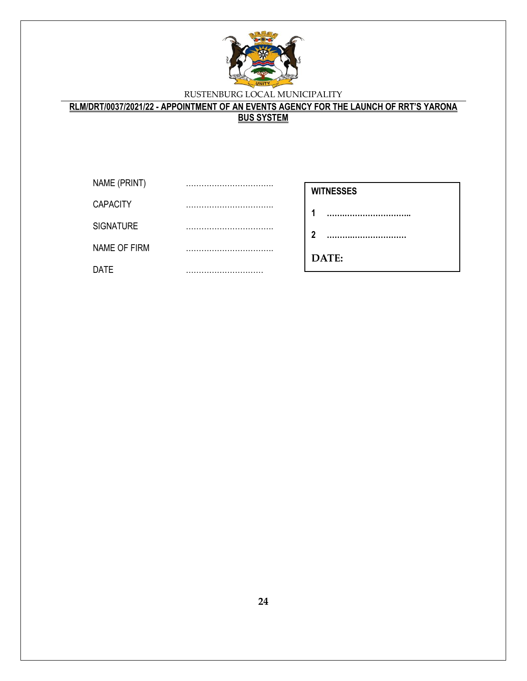

**RLM/DRT/0037/2021/22 - APPOINTMENT OF AN EVENTS AGENCY FOR THE LAUNCH OF RRT'S YARONA BUS SYSTEM**

| NAME (PRINT)     |  |
|------------------|--|
| <b>CAPACITY</b>  |  |
| <b>SIGNATURE</b> |  |
| NAME OF FIRM     |  |
| DATE             |  |

| WITNESSES |
|-----------|
|-----------|

**1 …….……………………..**

**2 ……….…………………**

**………………………**

**DATE:**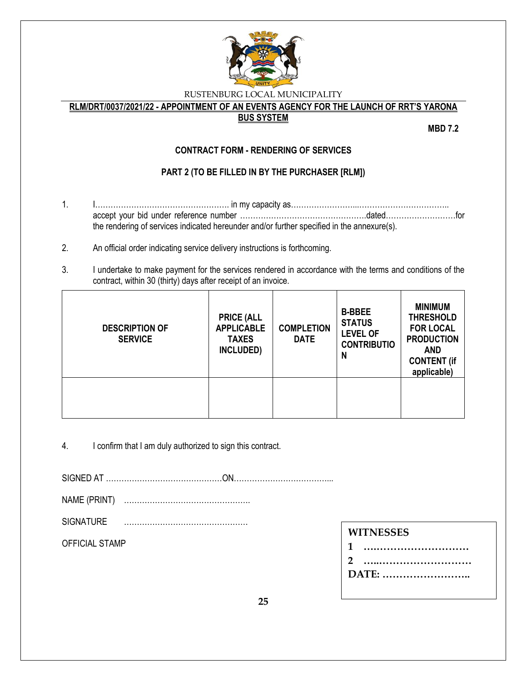

**RLM/DRT/0037/2021/22 - APPOINTMENT OF AN EVENTS AGENCY FOR THE LAUNCH OF RRT'S YARONA** 

### **BUS SYSTEM**

**MBD 7.2**

### **CONTRACT FORM - RENDERING OF SERVICES**

### **PART 2 (TO BE FILLED IN BY THE PURCHASER [RLM])**

- 1. I……………………………………………. in my capacity as……………………...…………………………….. accept your bid under reference number ………………………………………….dated………………………for the rendering of services indicated hereunder and/or further specified in the annexure(s).
- 2. An official order indicating service delivery instructions is forthcoming.
- 3. I undertake to make payment for the services rendered in accordance with the terms and conditions of the contract, within 30 (thirty) days after receipt of an invoice.

| <b>DESCRIPTION OF</b><br><b>SERVICE</b> | <b>PRICE (ALL</b><br><b>APPLICABLE</b><br><b>TAXES</b><br>INCLUDED) | <b>COMPLETION</b><br><b>DATE</b> | <b>B-BBEE</b><br><b>STATUS</b><br><b>LEVEL OF</b><br><b>CONTRIBUTIO</b><br>N | <b>MINIMUM</b><br><b>THRESHOLD</b><br><b>FOR LOCAL</b><br><b>PRODUCTION</b><br><b>AND</b><br><b>CONTENT (if</b><br>applicable) |
|-----------------------------------------|---------------------------------------------------------------------|----------------------------------|------------------------------------------------------------------------------|--------------------------------------------------------------------------------------------------------------------------------|
|                                         |                                                                     |                                  |                                                                              |                                                                                                                                |

4. I confirm that I am duly authorized to sign this contract.

SIGNED AT ………………………………………ON………………………………...

- NAME (PRINT) ………………………………………….
- SIGNATURE …………………………………………

OFFICIAL STAMP

**DATE: ……………………..**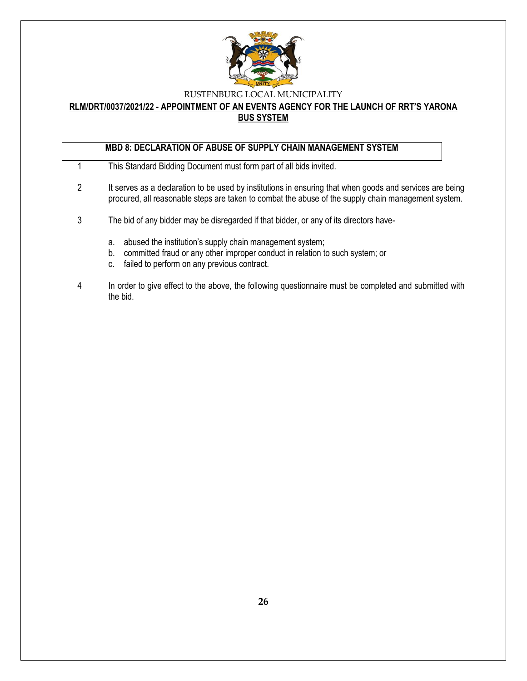

#### **RLM/DRT/0037/2021/22 - APPOINTMENT OF AN EVENTS AGENCY FOR THE LAUNCH OF RRT'S YARONA BUS SYSTEM**

### **MBD 8: DECLARATION OF ABUSE OF SUPPLY CHAIN MANAGEMENT SYSTEM**

- 1 This Standard Bidding Document must form part of all bids invited.
- 2 It serves as a declaration to be used by institutions in ensuring that when goods and services are being procured, all reasonable steps are taken to combat the abuse of the supply chain management system.
- 3 The bid of any bidder may be disregarded if that bidder, or any of its directors have
	- a. abused the institution's supply chain management system;
	- b. committed fraud or any other improper conduct in relation to such system; or
	- c. failed to perform on any previous contract.
- 4 In order to give effect to the above, the following questionnaire must be completed and submitted with the bid.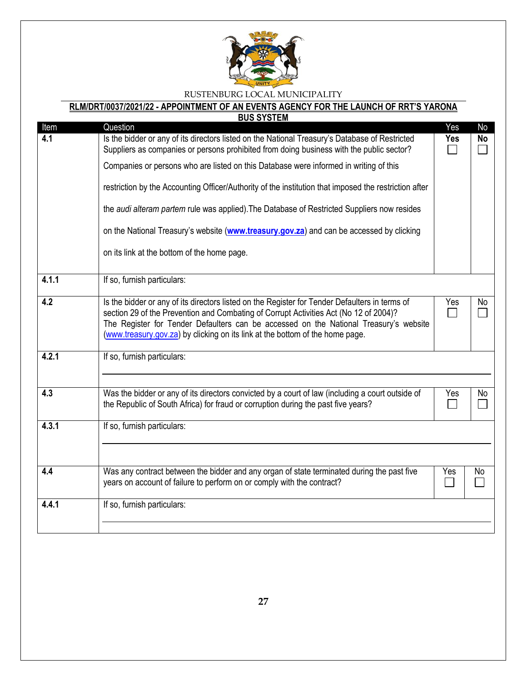

|       | <b>BUS SYSTEM</b>                                                                                                                                                                                                                                                                                                                                                 |            |           |
|-------|-------------------------------------------------------------------------------------------------------------------------------------------------------------------------------------------------------------------------------------------------------------------------------------------------------------------------------------------------------------------|------------|-----------|
| Item  | Question                                                                                                                                                                                                                                                                                                                                                          | Yes        | No        |
| 4.1   | Is the bidder or any of its directors listed on the National Treasury's Database of Restricted<br>Suppliers as companies or persons prohibited from doing business with the public sector?                                                                                                                                                                        | <b>Yes</b> | <b>No</b> |
|       | Companies or persons who are listed on this Database were informed in writing of this                                                                                                                                                                                                                                                                             |            |           |
|       | restriction by the Accounting Officer/Authority of the institution that imposed the restriction after                                                                                                                                                                                                                                                             |            |           |
|       | the audi alteram partem rule was applied). The Database of Restricted Suppliers now resides                                                                                                                                                                                                                                                                       |            |           |
|       | on the National Treasury's website (www.treasury.gov.za) and can be accessed by clicking                                                                                                                                                                                                                                                                          |            |           |
|       | on its link at the bottom of the home page.                                                                                                                                                                                                                                                                                                                       |            |           |
| 4.1.1 | If so, furnish particulars:                                                                                                                                                                                                                                                                                                                                       |            |           |
| 4.2   | Is the bidder or any of its directors listed on the Register for Tender Defaulters in terms of<br>section 29 of the Prevention and Combating of Corrupt Activities Act (No 12 of 2004)?<br>The Register for Tender Defaulters can be accessed on the National Treasury's website<br>(www.treasury.gov.za) by clicking on its link at the bottom of the home page. | Yes        | No        |
| 4.2.1 | If so, furnish particulars:                                                                                                                                                                                                                                                                                                                                       |            |           |
| 4.3   | Was the bidder or any of its directors convicted by a court of law (including a court outside of<br>the Republic of South Africa) for fraud or corruption during the past five years?                                                                                                                                                                             | Yes        | No.       |
| 4.3.1 | If so, furnish particulars:                                                                                                                                                                                                                                                                                                                                       |            |           |
| 4.4   | Was any contract between the bidder and any organ of state terminated during the past five<br>years on account of failure to perform on or comply with the contract?                                                                                                                                                                                              | Yes        | No.       |
| 4.4.1 | If so, furnish particulars:                                                                                                                                                                                                                                                                                                                                       |            |           |
|       |                                                                                                                                                                                                                                                                                                                                                                   |            |           |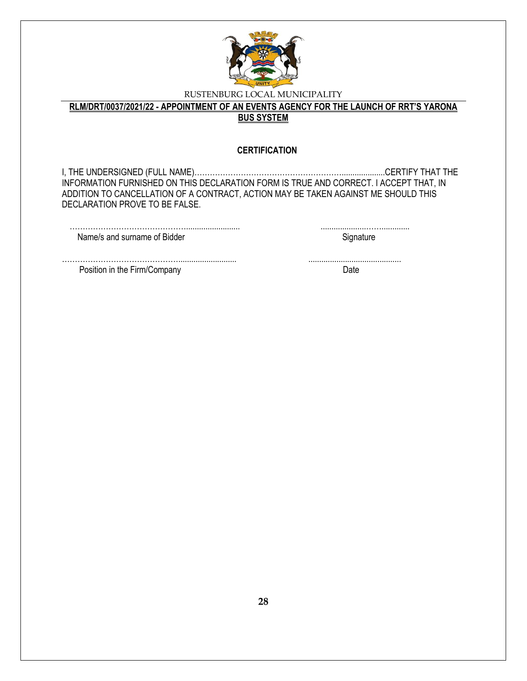

**RLM/DRT/0037/2021/22 - APPOINTMENT OF AN EVENTS AGENCY FOR THE LAUNCH OF RRT'S YARONA BUS SYSTEM**

#### **CERTIFICATION**

I, THE UNDERSIGNED (FULL NAME)…………………………………………………....................CERTIFY THAT THE INFORMATION FURNISHED ON THIS DECLARATION FORM IS TRUE AND CORRECT. I ACCEPT THAT, IN ADDITION TO CANCELLATION OF A CONTRACT, ACTION MAY BE TAKEN AGAINST ME SHOULD THIS DECLARATION PROVE TO BE FALSE.

| Name/s and surname of Bidder |  |
|------------------------------|--|

………………………………………........................... ........................................... Position in the Firm/Company Date Date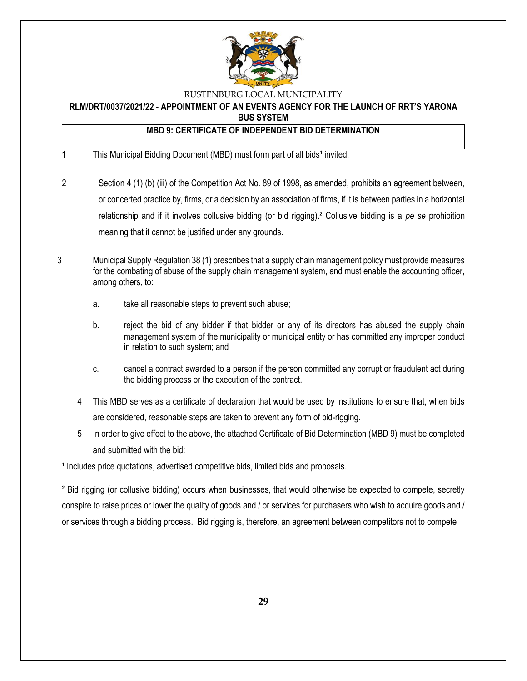

# **RLM/DRT/0037/2021/22 - APPOINTMENT OF AN EVENTS AGENCY FOR THE LAUNCH OF RRT'S YARONA**

**BUS SYSTEM**

### **MBD 9: CERTIFICATE OF INDEPENDENT BID DETERMINATION**

**1** This Municipal Bidding Document (MBD) must form part of all bids<sup>1</sup> invited.

- 2 Section 4 (1) (b) (iii) of the Competition Act No. 89 of 1998, as amended, prohibits an agreement between, or concerted practice by, firms, or a decision by an association of firms, if it is between parties in a horizontal relationship and if it involves collusive bidding (or bid rigging).² Collusive bidding is a *pe se* prohibition meaning that it cannot be justified under any grounds.
- 3 Municipal Supply Regulation 38 (1) prescribes that a supply chain management policy must provide measures for the combating of abuse of the supply chain management system, and must enable the accounting officer, among others, to:
	- a. take all reasonable steps to prevent such abuse;
	- b. reject the bid of any bidder if that bidder or any of its directors has abused the supply chain management system of the municipality or municipal entity or has committed any improper conduct in relation to such system; and
	- c. cancel a contract awarded to a person if the person committed any corrupt or fraudulent act during the bidding process or the execution of the contract.
	- 4 This MBD serves as a certificate of declaration that would be used by institutions to ensure that, when bids are considered, reasonable steps are taken to prevent any form of bid-rigging.
	- 5 In order to give effect to the above, the attached Certificate of Bid Determination (MBD 9) must be completed and submitted with the bid:

<sup>1</sup> Includes price quotations, advertised competitive bids, limited bids and proposals.

² Bid rigging (or collusive bidding) occurs when businesses, that would otherwise be expected to compete, secretly conspire to raise prices or lower the quality of goods and / or services for purchasers who wish to acquire goods and / or services through a bidding process. Bid rigging is, therefore, an agreement between competitors not to compete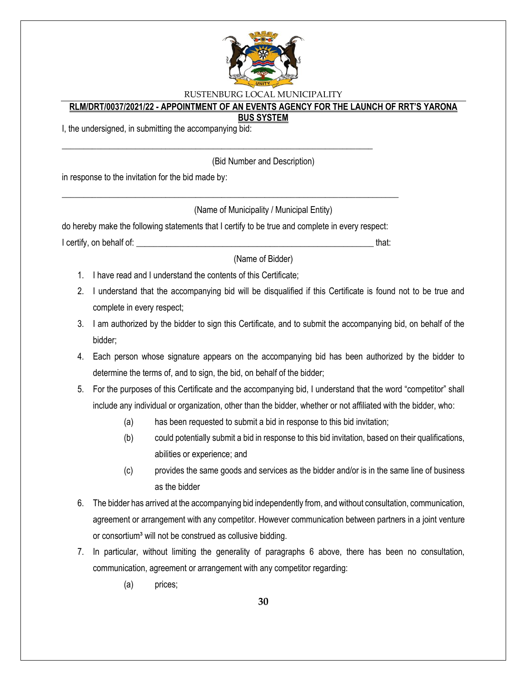

### **RLM/DRT/0037/2021/22 - APPOINTMENT OF AN EVENTS AGENCY FOR THE LAUNCH OF RRT'S YARONA**

#### **BUS SYSTEM**

I, the undersigned, in submitting the accompanying bid:

(Bid Number and Description)

in response to the invitation for the bid made by:

(Name of Municipality / Municipal Entity)

do hereby make the following statements that I certify to be true and complete in every respect: I certify, on behalf of: that:  $\blacksquare$ 

\_\_\_\_\_\_\_\_\_\_\_\_\_\_\_\_\_\_\_\_\_\_\_\_\_\_\_\_\_\_\_\_\_\_\_\_\_\_\_\_\_\_\_\_\_\_\_\_\_\_\_\_\_\_\_\_\_\_\_\_\_\_\_\_\_\_\_\_\_\_\_\_\_\_\_\_\_\_

\_\_\_\_\_\_\_\_\_\_\_\_\_\_\_\_\_\_\_\_\_\_\_\_\_\_\_\_\_\_\_\_\_\_\_\_\_\_\_\_\_\_\_\_\_\_\_\_\_\_\_\_\_\_\_\_\_\_\_\_\_\_\_\_\_\_\_\_\_\_\_\_

(Name of Bidder)

- 1. I have read and I understand the contents of this Certificate;
- 2. I understand that the accompanying bid will be disqualified if this Certificate is found not to be true and complete in every respect;
- 3. I am authorized by the bidder to sign this Certificate, and to submit the accompanying bid, on behalf of the bidder;
- 4. Each person whose signature appears on the accompanying bid has been authorized by the bidder to determine the terms of, and to sign, the bid, on behalf of the bidder;
- 5. For the purposes of this Certificate and the accompanying bid, I understand that the word "competitor" shall include any individual or organization, other than the bidder, whether or not affiliated with the bidder, who:
	- (a) has been requested to submit a bid in response to this bid invitation;
	- (b) could potentially submit a bid in response to this bid invitation, based on their qualifications, abilities or experience; and
	- (c) provides the same goods and services as the bidder and/or is in the same line of business as the bidder
- 6. The bidder has arrived at the accompanying bid independently from, and without consultation, communication, agreement or arrangement with any competitor. However communication between partners in a joint venture or consortium<sup>3</sup> will not be construed as collusive bidding.
- 7. In particular, without limiting the generality of paragraphs 6 above, there has been no consultation, communication, agreement or arrangement with any competitor regarding:
	- (a) prices;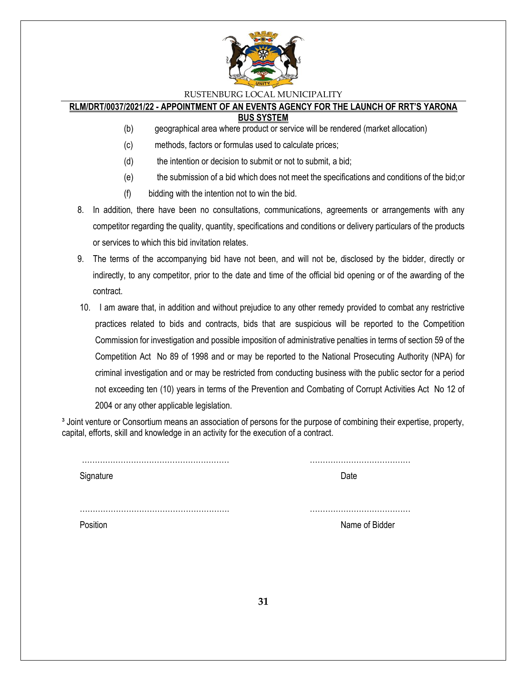

### **RLM/DRT/0037/2021/22 - APPOINTMENT OF AN EVENTS AGENCY FOR THE LAUNCH OF RRT'S YARONA**

#### **BUS SYSTEM**

- (b) geographical area where product or service will be rendered (market allocation)
- (c) methods, factors or formulas used to calculate prices;
- (d) the intention or decision to submit or not to submit, a bid;
- (e) the submission of a bid which does not meet the specifications and conditions of the bid;or
- (f) bidding with the intention not to win the bid.
- 8. In addition, there have been no consultations, communications, agreements or arrangements with any competitor regarding the quality, quantity, specifications and conditions or delivery particulars of the products or services to which this bid invitation relates.
- 9. The terms of the accompanying bid have not been, and will not be, disclosed by the bidder, directly or indirectly, to any competitor, prior to the date and time of the official bid opening or of the awarding of the contract.
- 10. I am aware that, in addition and without prejudice to any other remedy provided to combat any restrictive practices related to bids and contracts, bids that are suspicious will be reported to the Competition Commission for investigation and possible imposition of administrative penalties in terms of section 59 of the Competition Act No 89 of 1998 and or may be reported to the National Prosecuting Authority (NPA) for criminal investigation and or may be restricted from conducting business with the public sector for a period not exceeding ten (10) years in terms of the Prevention and Combating of Corrupt Activities Act No 12 of 2004 or any other applicable legislation.

<sup>3</sup> Joint venture or Consortium means an association of persons for the purpose of combining their expertise, property, capital, efforts, skill and knowledge in an activity for the execution of a contract.

| Signature | Date           |
|-----------|----------------|
|           |                |
| Position  | Name of Bidder |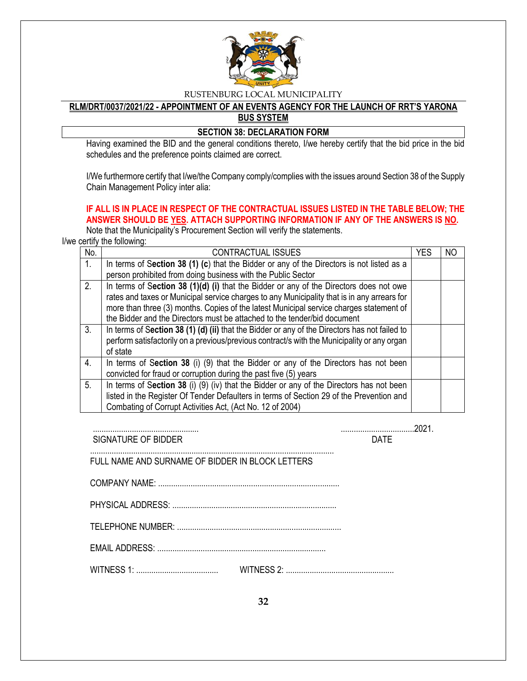

#### **RLM/DRT/0037/2021/22 - APPOINTMENT OF AN EVENTS AGENCY FOR THE LAUNCH OF RRT'S YARONA BUS SYSTEM**

#### **SECTION 38: DECLARATION FORM**

Having examined the BID and the general conditions thereto, I/we hereby certify that the bid price in the bid schedules and the preference points claimed are correct.

I/We furthermore certify that I/we/the Company comply/complies with the issues around Section 38 of the Supply Chain Management Policy inter alia:

### **IF ALL IS IN PLACE IN RESPECT OF THE CONTRACTUAL ISSUES LISTED IN THE TABLE BELOW; THE ANSWER SHOULD BE YES. ATTACH SUPPORTING INFORMATION IF ANY OF THE ANSWERS IS NO.**

Note that the Municipality's Procurement Section will verify the statements.

I/we certify the following:

| No. | <b>CONTRACTUAL ISSUES</b>                                                                     | <b>YES</b> | N <sub>O</sub> |
|-----|-----------------------------------------------------------------------------------------------|------------|----------------|
| 1.  | In terms of Section 38 (1) (c) that the Bidder or any of the Directors is not listed as a     |            |                |
|     | person prohibited from doing business with the Public Sector                                  |            |                |
| 2.  | In terms of Section 38 (1)(d) (i) that the Bidder or any of the Directors does not owe        |            |                |
|     | rates and taxes or Municipal service charges to any Municipality that is in any arrears for   |            |                |
|     | more than three (3) months. Copies of the latest Municipal service charges statement of       |            |                |
|     | the Bidder and the Directors must be attached to the tender/bid document                      |            |                |
| 3.  | In terms of Section 38 (1) (d) (ii) that the Bidder or any of the Directors has not failed to |            |                |
|     | perform satisfactorily on a previous/previous contract/s with the Municipality or any organ   |            |                |
|     | of state                                                                                      |            |                |
| 4.  | In terms of Section 38 (i) (9) that the Bidder or any of the Directors has not been           |            |                |
|     | convicted for fraud or corruption during the past five (5) years                              |            |                |
| 5.  | In terms of Section 38 (i) (9) (iv) that the Bidder or any of the Directors has not been      |            |                |
|     | listed in the Register Of Tender Defaulters in terms of Section 29 of the Prevention and      |            |                |
|     | Combating of Corrupt Activities Act, (Act No. 12 of 2004)                                     |            |                |

................................................. ..................................2021. SIGNATURE OF BIDDER DATE

 $COMPANY NAMF$ 

FULL NAME AND SURNAME OF BIDDER IN BLOCK LETTERS

.................................................................................................................

TELEPHONE NUMBER: ............................................................................

EMAIL ADDRESS: ..............................................................................

WITNESS 1: ...................................... WITNESS 2: ..................................................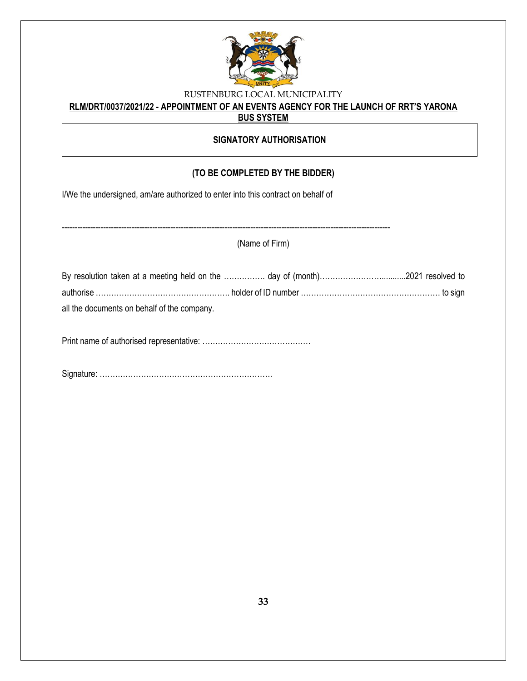

### **RLM/DRT/0037/2021/22 - APPOINTMENT OF AN EVENTS AGENCY FOR THE LAUNCH OF RRT'S YARONA BUS SYSTEM**

### **SIGNATORY AUTHORISATION**

### **(TO BE COMPLETED BY THE BIDDER)**

I/We the undersigned, am/are authorized to enter into this contract on behalf of

| (Name of Firm)                              |  |  |  |
|---------------------------------------------|--|--|--|
|                                             |  |  |  |
|                                             |  |  |  |
|                                             |  |  |  |
| all the documents on behalf of the company. |  |  |  |
|                                             |  |  |  |

Signature: ………………………………………………………….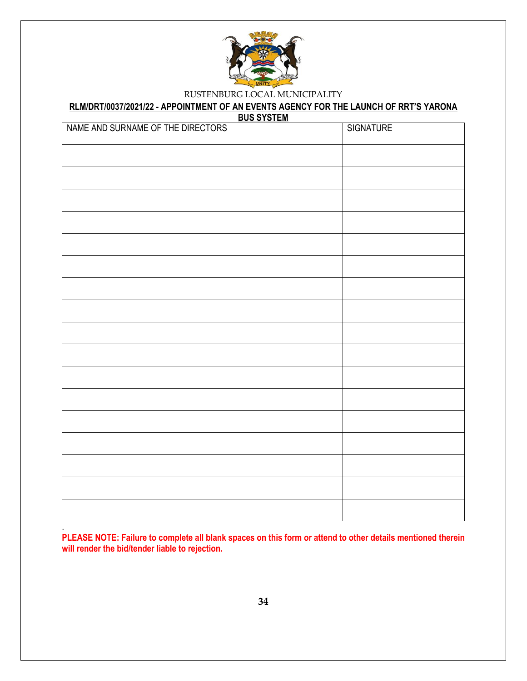

### **RLM/DRT/0037/2021/22 - APPOINTMENT OF AN EVENTS AGENCY FOR THE LAUNCH OF RRT'S YARONA**

**BUS SYSTEM**

| NAME AND SURNAME OF THE DIRECTORS | <b>SIGNATURE</b> |
|-----------------------------------|------------------|
|                                   |                  |
|                                   |                  |
|                                   |                  |
|                                   |                  |
|                                   |                  |
|                                   |                  |
|                                   |                  |
|                                   |                  |
|                                   |                  |
|                                   |                  |
|                                   |                  |
|                                   |                  |
|                                   |                  |
|                                   |                  |
|                                   |                  |
|                                   |                  |
|                                   |                  |
|                                   |                  |

**PLEASE NOTE: Failure to complete all blank spaces on this form or attend to other details mentioned therein will render the bid/tender liable to rejection.**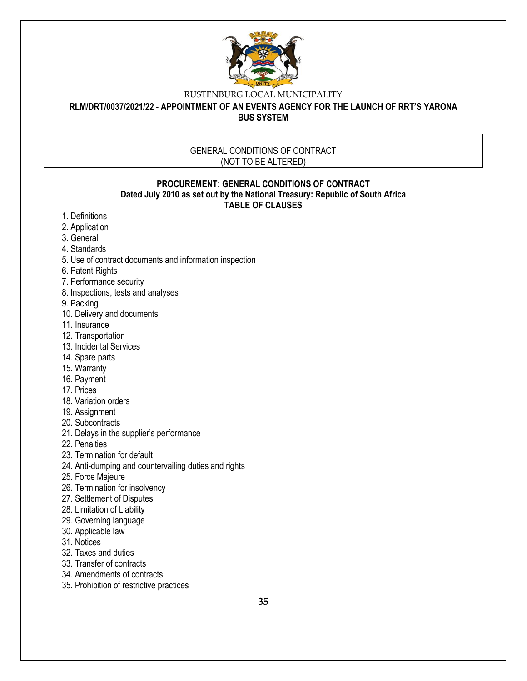

**RLM/DRT/0037/2021/22 - APPOINTMENT OF AN EVENTS AGENCY FOR THE LAUNCH OF RRT'S YARONA BUS SYSTEM**

#### GENERAL CONDITIONS OF CONTRACT (NOT TO BE ALTERED)

#### **PROCUREMENT: GENERAL CONDITIONS OF CONTRACT Dated July 2010 as set out by the National Treasury: Republic of South Africa TABLE OF CLAUSES**

- 1. Definitions
- 2. Application
- 3. General
- 4. Standards
- 5. Use of contract documents and information inspection
- 6. Patent Rights
- 7. Performance security
- 8. Inspections, tests and analyses
- 9. Packing
- 10. Delivery and documents
- 11. Insurance
- 12. Transportation
- 13. Incidental Services
- 14. Spare parts
- 15. Warranty
- 16. Payment
- 17. Prices
- 18. Variation orders
- 19. Assignment
- 20. Subcontracts
- 21. Delays in the supplier's performance
- 22. Penalties
- 23. Termination for default
- 24. Anti-dumping and countervailing duties and rights
- 25. Force Majeure
- 26. Termination for insolvency
- 27. Settlement of Disputes
- 28. Limitation of Liability
- 29. Governing language
- 30. Applicable law
- 31. Notices
- 32. Taxes and duties
- 33. Transfer of contracts
- 34. Amendments of contracts
- 35. Prohibition of restrictive practices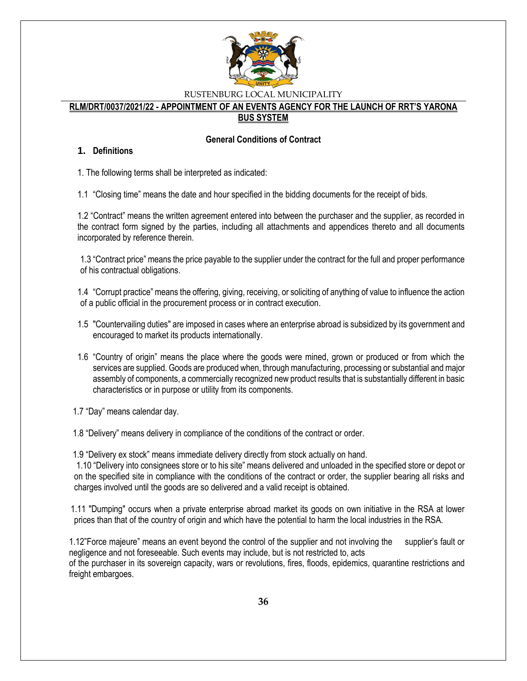

#### **RLM/DRT/0037/2021/22 - APPOINTMENT OF AN EVENTS AGENCY FOR THE LAUNCH OF RRT'S YARONA BUS SYSTEM**

#### **General Conditions of Contract**

#### **1. Definitions**

1. The following terms shall be interpreted as indicated:

1.1 "Closing time" means the date and hour specified in the bidding documents for the receipt of bids.

1.2 "Contract" means the written agreement entered into between the purchaser and the supplier, as recorded in the contract form signed by the parties, including all attachments and appendices thereto and all documents incorporated by reference therein.

1.3 "Contract price" means the price payable to the supplier under the contract for the full and proper performance of his contractual obligations.

1.4 "Corrupt practice" means the offering, giving, receiving, or soliciting of anything of value to influence the action of a public official in the procurement process or in contract execution.

- 1.5 "Countervailing duties" are imposed in cases where an enterprise abroad is subsidized by its government and encouraged to market its products internationally.
- 1.6 "Country of origin" means the place where the goods were mined, grown or produced or from which the services are supplied. Goods are produced when, through manufacturing, processing or substantial and major assembly of components, a commercially recognized new product results that is substantially different in basic characteristics or in purpose or utility from its components.

1.7 "Day" means calendar day.

1.8 "Delivery" means delivery in compliance of the conditions of the contract or order.

1.9 "Delivery ex stock" means immediate delivery directly from stock actually on hand.

1.10 "Delivery into consignees store or to his site" means delivered and unloaded in the specified store or depot or on the specified site in compliance with the conditions of the contract or order, the supplier bearing all risks and charges involved until the goods are so delivered and a valid receipt is obtained.

 1.11 "Dumping" occurs when a private enterprise abroad market its goods on own initiative in the RSA at lower prices than that of the country of origin and which have the potential to harm the local industries in the RSA.

1.12"Force majeure" means an event beyond the control of the supplier and not involving the supplier's fault or negligence and not foreseeable. Such events may include, but is not restricted to, acts of the purchaser in its sovereign capacity, wars or revolutions, fires, floods, epidemics, quarantine restrictions and freight embargoes.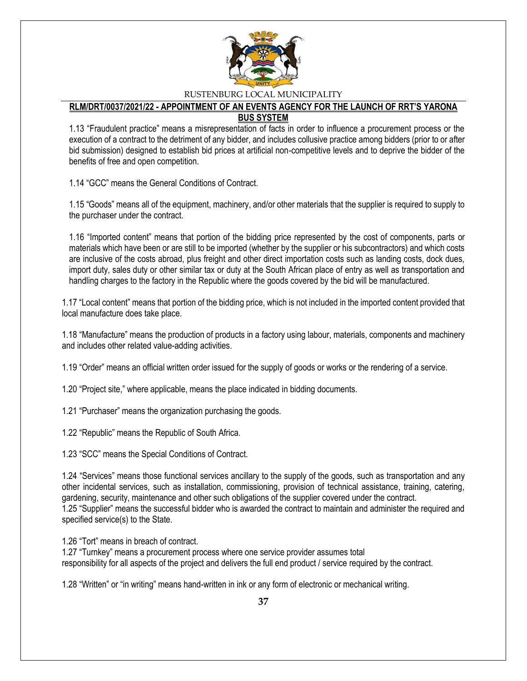

#### **RLM/DRT/0037/2021/22 - APPOINTMENT OF AN EVENTS AGENCY FOR THE LAUNCH OF RRT'S YARONA BUS SYSTEM**

1.13 "Fraudulent practice" means a misrepresentation of facts in order to influence a procurement process or the execution of a contract to the detriment of any bidder, and includes collusive practice among bidders (prior to or after bid submission) designed to establish bid prices at artificial non-competitive levels and to deprive the bidder of the benefits of free and open competition.

1.14 "GCC" means the General Conditions of Contract.

1.15 "Goods" means all of the equipment, machinery, and/or other materials that the supplier is required to supply to the purchaser under the contract.

1.16 "Imported content" means that portion of the bidding price represented by the cost of components, parts or materials which have been or are still to be imported (whether by the supplier or his subcontractors) and which costs are inclusive of the costs abroad, plus freight and other direct importation costs such as landing costs, dock dues, import duty, sales duty or other similar tax or duty at the South African place of entry as well as transportation and handling charges to the factory in the Republic where the goods covered by the bid will be manufactured.

1.17 "Local content" means that portion of the bidding price, which is not included in the imported content provided that local manufacture does take place.

1.18 "Manufacture" means the production of products in a factory using labour, materials, components and machinery and includes other related value-adding activities.

1.19 "Order" means an official written order issued for the supply of goods or works or the rendering of a service.

1.20 "Project site," where applicable, means the place indicated in bidding documents.

1.21 "Purchaser" means the organization purchasing the goods.

1.22 "Republic" means the Republic of South Africa.

1.23 "SCC" means the Special Conditions of Contract.

1.24 "Services" means those functional services ancillary to the supply of the goods, such as transportation and any other incidental services, such as installation, commissioning, provision of technical assistance, training, catering, gardening, security, maintenance and other such obligations of the supplier covered under the contract. 1.25 "Supplier" means the successful bidder who is awarded the contract to maintain and administer the required and specified service(s) to the State.

1.26 "Tort" means in breach of contract.

1.27 "Turnkey" means a procurement process where one service provider assumes total responsibility for all aspects of the project and delivers the full end product / service required by the contract.

1.28 "Written" or "in writing" means hand-written in ink or any form of electronic or mechanical writing.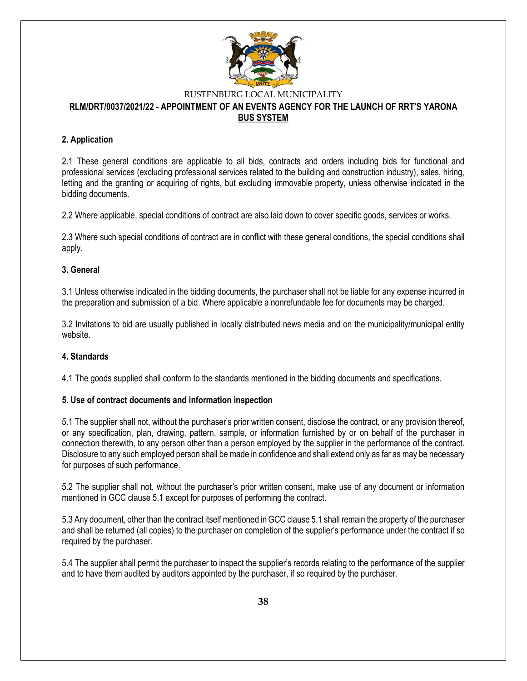

#### **RLM/DRT/0037/2021/22 - APPOINTMENT OF AN EVENTS AGENCY FOR THE LAUNCH OF RRT'S YARONA BUS SYSTEM**

#### **2. Application**

2.1 These general conditions are applicable to all bids, contracts and orders including bids for functional and professional services (excluding professional services related to the building and construction industry), sales, hiring, letting and the granting or acquiring of rights, but excluding immovable property, unless otherwise indicated in the bidding documents.

2.2 Where applicable, special conditions of contract are also laid down to cover specific goods, services or works.

2.3 Where such special conditions of contract are in conflict with these general conditions, the special conditions shall apply.

#### **3. General**

3.1 Unless otherwise indicated in the bidding documents, the purchaser shall not be liable for any expense incurred in the preparation and submission of a bid. Where applicable a nonrefundable fee for documents may be charged.

3.2 Invitations to bid are usually published in locally distributed news media and on the municipality/municipal entity website.

#### **4. Standards**

4.1 The goods supplied shall conform to the standards mentioned in the bidding documents and specifications.

#### **5. Use of contract documents and information inspection**

5.1 The supplier shall not, without the purchaser's prior written consent, disclose the contract, or any provision thereof, or any specification, plan, drawing, pattern, sample, or information furnished by or on behalf of the purchaser in connection therewith, to any person other than a person employed by the supplier in the performance of the contract. Disclosure to any such employed person shall be made in confidence and shall extend only as far as may be necessary for purposes of such performance.

5.2 The supplier shall not, without the purchaser's prior written consent, make use of any document or information mentioned in GCC clause 5.1 except for purposes of performing the contract.

5.3 Any document, other than the contract itself mentioned in GCC clause 5.1 shall remain the property of the purchaser and shall be returned (all copies) to the purchaser on completion of the supplier's performance under the contract if so required by the purchaser.

5.4 The supplier shall permit the purchaser to inspect the supplier's records relating to the performance of the supplier and to have them audited by auditors appointed by the purchaser, if so required by the purchaser.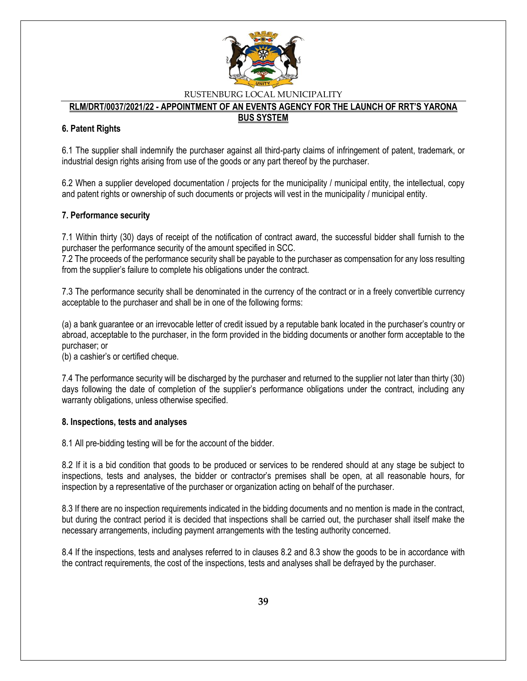

### **RLM/DRT/0037/2021/22 - APPOINTMENT OF AN EVENTS AGENCY FOR THE LAUNCH OF RRT'S YARONA**

#### **BUS SYSTEM**

#### **6. Patent Rights**

6.1 The supplier shall indemnify the purchaser against all third-party claims of infringement of patent, trademark, or industrial design rights arising from use of the goods or any part thereof by the purchaser.

6.2 When a supplier developed documentation / projects for the municipality / municipal entity, the intellectual, copy and patent rights or ownership of such documents or projects will vest in the municipality / municipal entity.

#### **7. Performance security**

7.1 Within thirty (30) days of receipt of the notification of contract award, the successful bidder shall furnish to the purchaser the performance security of the amount specified in SCC.

7.2 The proceeds of the performance security shall be payable to the purchaser as compensation for any loss resulting from the supplier's failure to complete his obligations under the contract.

7.3 The performance security shall be denominated in the currency of the contract or in a freely convertible currency acceptable to the purchaser and shall be in one of the following forms:

(a) a bank guarantee or an irrevocable letter of credit issued by a reputable bank located in the purchaser's country or abroad, acceptable to the purchaser, in the form provided in the bidding documents or another form acceptable to the purchaser; or

(b) a cashier's or certified cheque.

7.4 The performance security will be discharged by the purchaser and returned to the supplier not later than thirty (30) days following the date of completion of the supplier's performance obligations under the contract, including any warranty obligations, unless otherwise specified.

#### **8. Inspections, tests and analyses**

8.1 All pre-bidding testing will be for the account of the bidder.

8.2 If it is a bid condition that goods to be produced or services to be rendered should at any stage be subject to inspections, tests and analyses, the bidder or contractor's premises shall be open, at all reasonable hours, for inspection by a representative of the purchaser or organization acting on behalf of the purchaser.

8.3 If there are no inspection requirements indicated in the bidding documents and no mention is made in the contract, but during the contract period it is decided that inspections shall be carried out, the purchaser shall itself make the necessary arrangements, including payment arrangements with the testing authority concerned.

8.4 If the inspections, tests and analyses referred to in clauses 8.2 and 8.3 show the goods to be in accordance with the contract requirements, the cost of the inspections, tests and analyses shall be defrayed by the purchaser.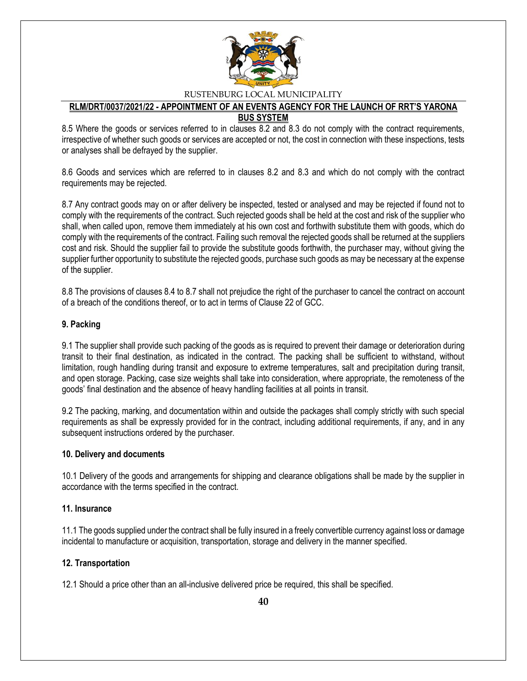

#### **RLM/DRT/0037/2021/22 - APPOINTMENT OF AN EVENTS AGENCY FOR THE LAUNCH OF RRT'S YARONA BUS SYSTEM**

8.5 Where the goods or services referred to in clauses 8.2 and 8.3 do not comply with the contract requirements, irrespective of whether such goods or services are accepted or not, the cost in connection with these inspections, tests or analyses shall be defrayed by the supplier.

8.6 Goods and services which are referred to in clauses 8.2 and 8.3 and which do not comply with the contract requirements may be rejected.

8.7 Any contract goods may on or after delivery be inspected, tested or analysed and may be rejected if found not to comply with the requirements of the contract. Such rejected goods shall be held at the cost and risk of the supplier who shall, when called upon, remove them immediately at his own cost and forthwith substitute them with goods, which do comply with the requirements of the contract. Failing such removal the rejected goods shall be returned at the suppliers cost and risk. Should the supplier fail to provide the substitute goods forthwith, the purchaser may, without giving the supplier further opportunity to substitute the rejected goods, purchase such goods as may be necessary at the expense of the supplier.

8.8 The provisions of clauses 8.4 to 8.7 shall not prejudice the right of the purchaser to cancel the contract on account of a breach of the conditions thereof, or to act in terms of Clause 22 of GCC.

#### **9. Packing**

9.1 The supplier shall provide such packing of the goods as is required to prevent their damage or deterioration during transit to their final destination, as indicated in the contract. The packing shall be sufficient to withstand, without limitation, rough handling during transit and exposure to extreme temperatures, salt and precipitation during transit, and open storage. Packing, case size weights shall take into consideration, where appropriate, the remoteness of the goods' final destination and the absence of heavy handling facilities at all points in transit.

9.2 The packing, marking, and documentation within and outside the packages shall comply strictly with such special requirements as shall be expressly provided for in the contract, including additional requirements, if any, and in any subsequent instructions ordered by the purchaser.

#### **10. Delivery and documents**

10.1 Delivery of the goods and arrangements for shipping and clearance obligations shall be made by the supplier in accordance with the terms specified in the contract.

#### **11. Insurance**

11.1 The goods supplied under the contract shall be fully insured in a freely convertible currency against loss or damage incidental to manufacture or acquisition, transportation, storage and delivery in the manner specified.

#### **12. Transportation**

12.1 Should a price other than an all-inclusive delivered price be required, this shall be specified.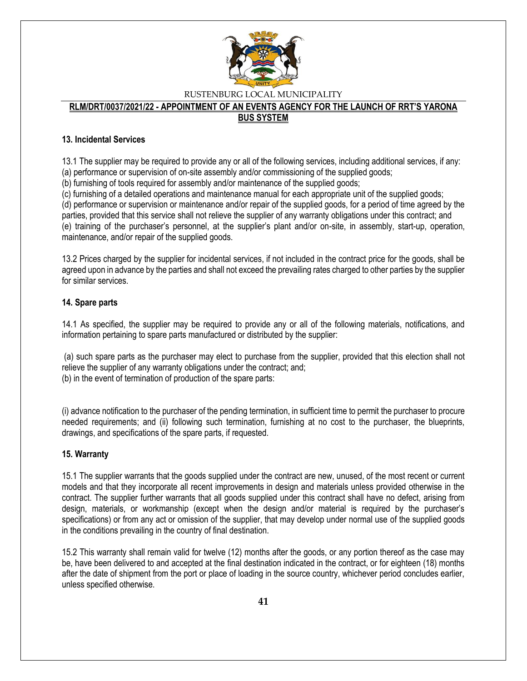

# **RLM/DRT/0037/2021/22 - APPOINTMENT OF AN EVENTS AGENCY FOR THE LAUNCH OF RRT'S YARONA**

### **BUS SYSTEM**

#### **13. Incidental Services**

13.1 The supplier may be required to provide any or all of the following services, including additional services, if any:

(a) performance or supervision of on-site assembly and/or commissioning of the supplied goods;

(b) furnishing of tools required for assembly and/or maintenance of the supplied goods;

(c) furnishing of a detailed operations and maintenance manual for each appropriate unit of the supplied goods;

(d) performance or supervision or maintenance and/or repair of the supplied goods, for a period of time agreed by the parties, provided that this service shall not relieve the supplier of any warranty obligations under this contract; and (e) training of the purchaser's personnel, at the supplier's plant and/or on-site, in assembly, start-up, operation, maintenance, and/or repair of the supplied goods.

13.2 Prices charged by the supplier for incidental services, if not included in the contract price for the goods, shall be agreed upon in advance by the parties and shall not exceed the prevailing rates charged to other parties by the supplier for similar services.

#### **14. Spare parts**

14.1 As specified, the supplier may be required to provide any or all of the following materials, notifications, and information pertaining to spare parts manufactured or distributed by the supplier:

(a) such spare parts as the purchaser may elect to purchase from the supplier, provided that this election shall not relieve the supplier of any warranty obligations under the contract; and; (b) in the event of termination of production of the spare parts:

(i) advance notification to the purchaser of the pending termination, in sufficient time to permit the purchaser to procure needed requirements; and (ii) following such termination, furnishing at no cost to the purchaser, the blueprints, drawings, and specifications of the spare parts, if requested.

### **15. Warranty**

15.1 The supplier warrants that the goods supplied under the contract are new, unused, of the most recent or current models and that they incorporate all recent improvements in design and materials unless provided otherwise in the contract. The supplier further warrants that all goods supplied under this contract shall have no defect, arising from design, materials, or workmanship (except when the design and/or material is required by the purchaser's specifications) or from any act or omission of the supplier, that may develop under normal use of the supplied goods in the conditions prevailing in the country of final destination.

15.2 This warranty shall remain valid for twelve (12) months after the goods, or any portion thereof as the case may be, have been delivered to and accepted at the final destination indicated in the contract, or for eighteen (18) months after the date of shipment from the port or place of loading in the source country, whichever period concludes earlier, unless specified otherwise.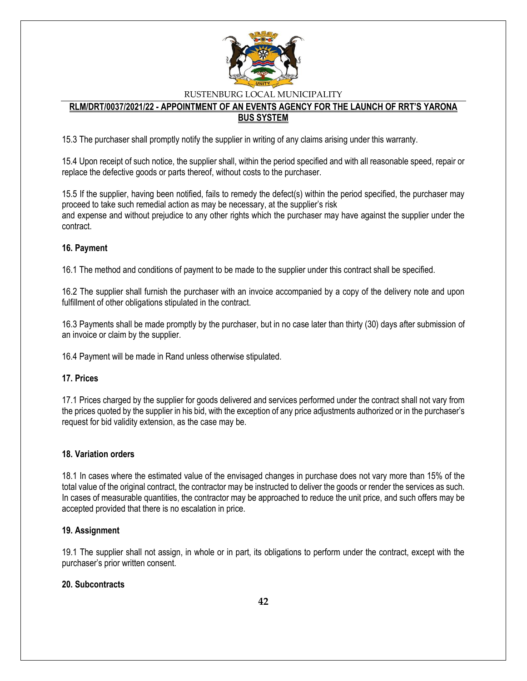

#### **RLM/DRT/0037/2021/22 - APPOINTMENT OF AN EVENTS AGENCY FOR THE LAUNCH OF RRT'S YARONA BUS SYSTEM**

15.3 The purchaser shall promptly notify the supplier in writing of any claims arising under this warranty.

15.4 Upon receipt of such notice, the supplier shall, within the period specified and with all reasonable speed, repair or replace the defective goods or parts thereof, without costs to the purchaser.

15.5 If the supplier, having been notified, fails to remedy the defect(s) within the period specified, the purchaser may proceed to take such remedial action as may be necessary, at the supplier's risk and expense and without prejudice to any other rights which the purchaser may have against the supplier under the contract.

#### **16. Payment**

16.1 The method and conditions of payment to be made to the supplier under this contract shall be specified.

16.2 The supplier shall furnish the purchaser with an invoice accompanied by a copy of the delivery note and upon fulfillment of other obligations stipulated in the contract.

16.3 Payments shall be made promptly by the purchaser, but in no case later than thirty (30) days after submission of an invoice or claim by the supplier.

16.4 Payment will be made in Rand unless otherwise stipulated.

#### **17. Prices**

17.1 Prices charged by the supplier for goods delivered and services performed under the contract shall not vary from the prices quoted by the supplier in his bid, with the exception of any price adjustments authorized or in the purchaser's request for bid validity extension, as the case may be.

#### **18. Variation orders**

18.1 In cases where the estimated value of the envisaged changes in purchase does not vary more than 15% of the total value of the original contract, the contractor may be instructed to deliver the goods or render the services as such. In cases of measurable quantities, the contractor may be approached to reduce the unit price, and such offers may be accepted provided that there is no escalation in price.

#### **19. Assignment**

19.1 The supplier shall not assign, in whole or in part, its obligations to perform under the contract, except with the purchaser's prior written consent.

#### **20. Subcontracts**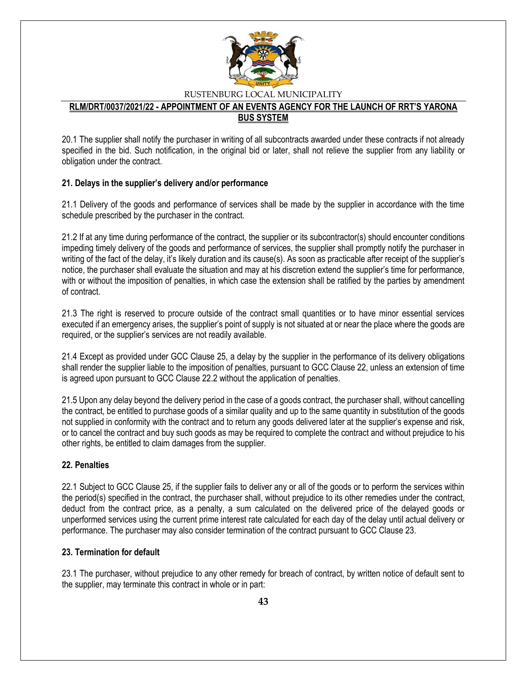

#### **RLM/DRT/0037/2021/22 - APPOINTMENT OF AN EVENTS AGENCY FOR THE LAUNCH OF RRT'S YARONA BUS SYSTEM**

20.1 The supplier shall notify the purchaser in writing of all subcontracts awarded under these contracts if not already specified in the bid. Such notification, in the original bid or later, shall not relieve the supplier from any liability or obligation under the contract.

#### **21. Delays in the supplier's delivery and/or performance**

21.1 Delivery of the goods and performance of services shall be made by the supplier in accordance with the time schedule prescribed by the purchaser in the contract.

21.2 If at any time during performance of the contract, the supplier or its subcontractor(s) should encounter conditions impeding timely delivery of the goods and performance of services, the supplier shall promptly notify the purchaser in writing of the fact of the delay, it's likely duration and its cause(s). As soon as practicable after receipt of the supplier's notice, the purchaser shall evaluate the situation and may at his discretion extend the supplier's time for performance, with or without the imposition of penalties, in which case the extension shall be ratified by the parties by amendment of contract.

21.3 The right is reserved to procure outside of the contract small quantities or to have minor essential services executed if an emergency arises, the supplier's point of supply is not situated at or near the place where the goods are required, or the supplier's services are not readily available.

21.4 Except as provided under GCC Clause 25, a delay by the supplier in the performance of its delivery obligations shall render the supplier liable to the imposition of penalties, pursuant to GCC Clause 22, unless an extension of time is agreed upon pursuant to GCC Clause 22.2 without the application of penalties.

21.5 Upon any delay beyond the delivery period in the case of a goods contract, the purchaser shall, without cancelling the contract, be entitled to purchase goods of a similar quality and up to the same quantity in substitution of the goods not supplied in conformity with the contract and to return any goods delivered later at the supplier's expense and risk, or to cancel the contract and buy such goods as may be required to complete the contract and without prejudice to his other rights, be entitled to claim damages from the supplier.

### **22. Penalties**

22.1 Subject to GCC Clause 25, if the supplier fails to deliver any or all of the goods or to perform the services within the period(s) specified in the contract, the purchaser shall, without prejudice to its other remedies under the contract, deduct from the contract price, as a penalty, a sum calculated on the delivered price of the delayed goods or unperformed services using the current prime interest rate calculated for each day of the delay until actual delivery or performance. The purchaser may also consider termination of the contract pursuant to GCC Clause 23.

#### **23. Termination for default**

23.1 The purchaser, without prejudice to any other remedy for breach of contract, by written notice of default sent to the supplier, may terminate this contract in whole or in part: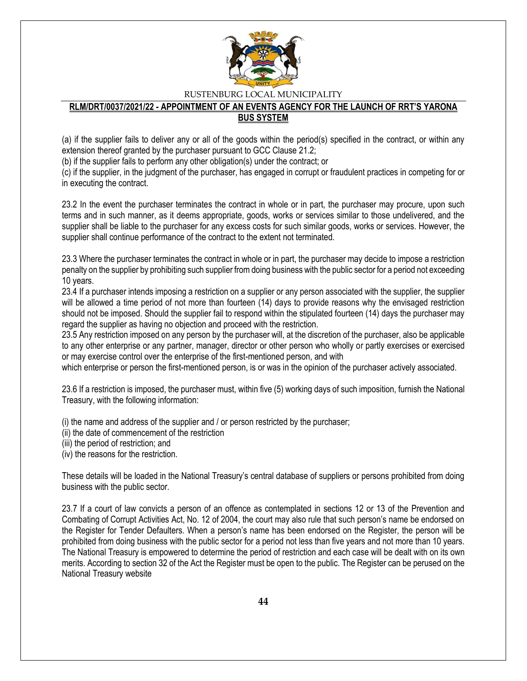

#### **RLM/DRT/0037/2021/22 - APPOINTMENT OF AN EVENTS AGENCY FOR THE LAUNCH OF RRT'S YARONA BUS SYSTEM**

(a) if the supplier fails to deliver any or all of the goods within the period(s) specified in the contract, or within any extension thereof granted by the purchaser pursuant to GCC Clause 21.2;

(b) if the supplier fails to perform any other obligation(s) under the contract; or

(c) if the supplier, in the judgment of the purchaser, has engaged in corrupt or fraudulent practices in competing for or in executing the contract.

23.2 In the event the purchaser terminates the contract in whole or in part, the purchaser may procure, upon such terms and in such manner, as it deems appropriate, goods, works or services similar to those undelivered, and the supplier shall be liable to the purchaser for any excess costs for such similar goods, works or services. However, the supplier shall continue performance of the contract to the extent not terminated.

23.3 Where the purchaser terminates the contract in whole or in part, the purchaser may decide to impose a restriction penalty on the supplier by prohibiting such supplier from doing business with the public sector for a period not exceeding 10 years.

23.4 If a purchaser intends imposing a restriction on a supplier or any person associated with the supplier, the supplier will be allowed a time period of not more than fourteen (14) days to provide reasons why the envisaged restriction should not be imposed. Should the supplier fail to respond within the stipulated fourteen (14) days the purchaser may regard the supplier as having no objection and proceed with the restriction.

23.5 Any restriction imposed on any person by the purchaser will, at the discretion of the purchaser, also be applicable to any other enterprise or any partner, manager, director or other person who wholly or partly exercises or exercised or may exercise control over the enterprise of the first-mentioned person, and with

which enterprise or person the first-mentioned person, is or was in the opinion of the purchaser actively associated.

23.6 If a restriction is imposed, the purchaser must, within five (5) working days of such imposition, furnish the National Treasury, with the following information:

(i) the name and address of the supplier and / or person restricted by the purchaser;

(ii) the date of commencement of the restriction

(iii) the period of restriction; and

(iv) the reasons for the restriction.

These details will be loaded in the National Treasury's central database of suppliers or persons prohibited from doing business with the public sector.

23.7 If a court of law convicts a person of an offence as contemplated in sections 12 or 13 of the Prevention and Combating of Corrupt Activities Act, No. 12 of 2004, the court may also rule that such person's name be endorsed on the Register for Tender Defaulters. When a person's name has been endorsed on the Register, the person will be prohibited from doing business with the public sector for a period not less than five years and not more than 10 years. The National Treasury is empowered to determine the period of restriction and each case will be dealt with on its own merits. According to section 32 of the Act the Register must be open to the public. The Register can be perused on the National Treasury website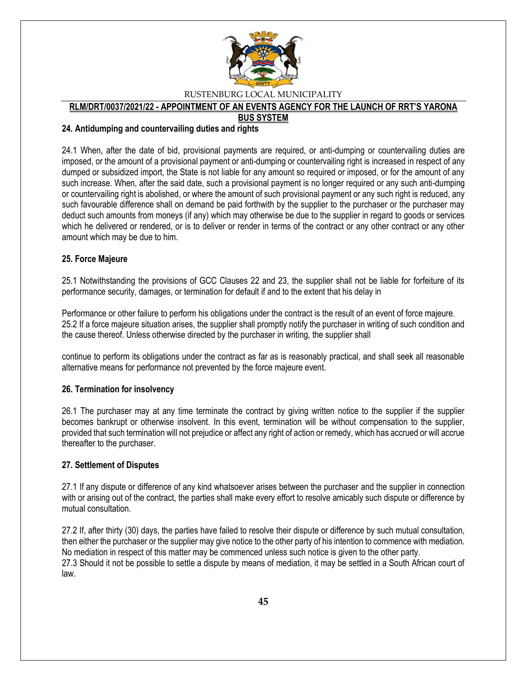

### **RLM/DRT/0037/2021/22 - APPOINTMENT OF AN EVENTS AGENCY FOR THE LAUNCH OF RRT'S YARONA**

#### **BUS SYSTEM**

#### **24. Antidumping and countervailing duties and rights**

24.1 When, after the date of bid, provisional payments are required, or anti-dumping or countervailing duties are imposed, or the amount of a provisional payment or anti-dumping or countervailing right is increased in respect of any dumped or subsidized import, the State is not liable for any amount so required or imposed, or for the amount of any such increase. When, after the said date, such a provisional payment is no longer required or any such anti-dumping or countervailing right is abolished, or where the amount of such provisional payment or any such right is reduced, any such favourable difference shall on demand be paid forthwith by the supplier to the purchaser or the purchaser may deduct such amounts from moneys (if any) which may otherwise be due to the supplier in regard to goods or services which he delivered or rendered, or is to deliver or render in terms of the contract or any other contract or any other amount which may be due to him.

#### **25. Force Majeure**

25.1 Notwithstanding the provisions of GCC Clauses 22 and 23, the supplier shall not be liable for forfeiture of its performance security, damages, or termination for default if and to the extent that his delay in

Performance or other failure to perform his obligations under the contract is the result of an event of force majeure. 25.2 If a force majeure situation arises, the supplier shall promptly notify the purchaser in writing of such condition and the cause thereof. Unless otherwise directed by the purchaser in writing, the supplier shall

continue to perform its obligations under the contract as far as is reasonably practical, and shall seek all reasonable alternative means for performance not prevented by the force majeure event.

### **26. Termination for insolvency**

26.1 The purchaser may at any time terminate the contract by giving written notice to the supplier if the supplier becomes bankrupt or otherwise insolvent. In this event, termination will be without compensation to the supplier, provided that such termination will not prejudice or affect any right of action or remedy, which has accrued or will accrue thereafter to the purchaser.

#### **27. Settlement of Disputes**

27.1 If any dispute or difference of any kind whatsoever arises between the purchaser and the supplier in connection with or arising out of the contract, the parties shall make every effort to resolve amicably such dispute or difference by mutual consultation.

27.2 If, after thirty (30) days, the parties have failed to resolve their dispute or difference by such mutual consultation, then either the purchaser or the supplier may give notice to the other party of his intention to commence with mediation. No mediation in respect of this matter may be commenced unless such notice is given to the other party. 27.3 Should it not be possible to settle a dispute by means of mediation, it may be settled in a South African court of law.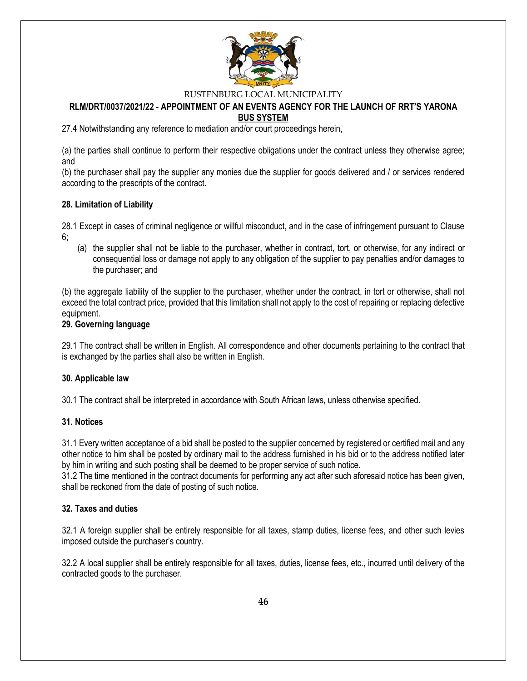

#### **RLM/DRT/0037/2021/22 - APPOINTMENT OF AN EVENTS AGENCY FOR THE LAUNCH OF RRT'S YARONA BUS SYSTEM**

27.4 Notwithstanding any reference to mediation and/or court proceedings herein,

(a) the parties shall continue to perform their respective obligations under the contract unless they otherwise agree; and

(b) the purchaser shall pay the supplier any monies due the supplier for goods delivered and / or services rendered according to the prescripts of the contract.

#### **28. Limitation of Liability**

28.1 Except in cases of criminal negligence or willful misconduct, and in the case of infringement pursuant to Clause 6;

(a) the supplier shall not be liable to the purchaser, whether in contract, tort, or otherwise, for any indirect or consequential loss or damage not apply to any obligation of the supplier to pay penalties and/or damages to the purchaser; and

(b) the aggregate liability of the supplier to the purchaser, whether under the contract, in tort or otherwise, shall not exceed the total contract price, provided that this limitation shall not apply to the cost of repairing or replacing defective equipment.

#### **29. Governing language**

29.1 The contract shall be written in English. All correspondence and other documents pertaining to the contract that is exchanged by the parties shall also be written in English.

#### **30. Applicable law**

30.1 The contract shall be interpreted in accordance with South African laws, unless otherwise specified.

#### **31. Notices**

31.1 Every written acceptance of a bid shall be posted to the supplier concerned by registered or certified mail and any other notice to him shall be posted by ordinary mail to the address furnished in his bid or to the address notified later by him in writing and such posting shall be deemed to be proper service of such notice.

31.2 The time mentioned in the contract documents for performing any act after such aforesaid notice has been given, shall be reckoned from the date of posting of such notice.

#### **32. Taxes and duties**

32.1 A foreign supplier shall be entirely responsible for all taxes, stamp duties, license fees, and other such levies imposed outside the purchaser's country.

32.2 A local supplier shall be entirely responsible for all taxes, duties, license fees, etc., incurred until delivery of the contracted goods to the purchaser.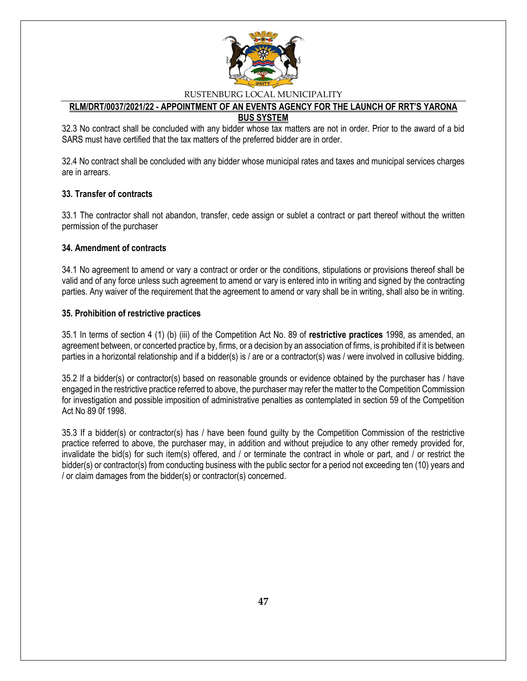

#### **RLM/DRT/0037/2021/22 - APPOINTMENT OF AN EVENTS AGENCY FOR THE LAUNCH OF RRT'S YARONA BUS SYSTEM**

32.3 No contract shall be concluded with any bidder whose tax matters are not in order. Prior to the award of a bid SARS must have certified that the tax matters of the preferred bidder are in order.

32.4 No contract shall be concluded with any bidder whose municipal rates and taxes and municipal services charges are in arrears.

#### **33. Transfer of contracts**

33.1 The contractor shall not abandon, transfer, cede assign or sublet a contract or part thereof without the written permission of the purchaser

#### **34. Amendment of contracts**

34.1 No agreement to amend or vary a contract or order or the conditions, stipulations or provisions thereof shall be valid and of any force unless such agreement to amend or vary is entered into in writing and signed by the contracting parties. Any waiver of the requirement that the agreement to amend or vary shall be in writing, shall also be in writing.

#### **35. Prohibition of restrictive practices**

35.1 In terms of section 4 (1) (b) (iii) of the Competition Act No. 89 of **restrictive practices** 1998, as amended, an agreement between, or concerted practice by, firms, or a decision by an association of firms, is prohibited if it is between parties in a horizontal relationship and if a bidder(s) is / are or a contractor(s) was / were involved in collusive bidding.

35.2 If a bidder(s) or contractor(s) based on reasonable grounds or evidence obtained by the purchaser has / have engaged in the restrictive practice referred to above, the purchaser may refer the matter to the Competition Commission for investigation and possible imposition of administrative penalties as contemplated in section 59 of the Competition Act No 89 0f 1998.

35.3 If a bidder(s) or contractor(s) has / have been found guilty by the Competition Commission of the restrictive practice referred to above, the purchaser may, in addition and without prejudice to any other remedy provided for, invalidate the bid(s) for such item(s) offered, and / or terminate the contract in whole or part, and / or restrict the bidder(s) or contractor(s) from conducting business with the public sector for a period not exceeding ten (10) years and / or claim damages from the bidder(s) or contractor(s) concerned.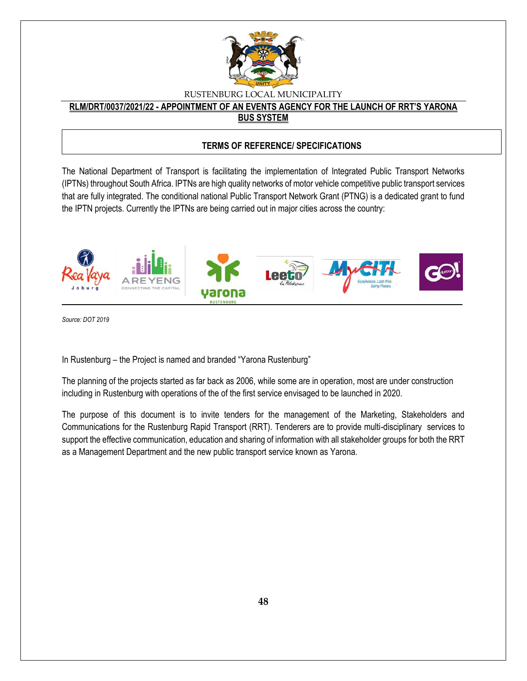

#### **RLM/DRT/0037/2021/22 - APPOINTMENT OF AN EVENTS AGENCY FOR THE LAUNCH OF RRT'S YARONA BUS SYSTEM**

#### **TERMS OF REFERENCE/ SPECIFICATIONS**

The National Department of Transport is facilitating the implementation of Integrated Public Transport Networks (IPTNs) throughout South Africa. IPTNs are high quality networks of motor vehicle competitive public transport services that are fully integrated. The conditional national Public Transport Network Grant (PTNG) is a dedicated grant to fund the IPTN projects. Currently the IPTNs are being carried out in major cities across the country:



*Source: DOT 2019*

In Rustenburg – the Project is named and branded "Yarona Rustenburg"

The planning of the projects started as far back as 2006, while some are in operation, most are under construction including in Rustenburg with operations of the of the first service envisaged to be launched in 2020.

The purpose of this document is to invite tenders for the management of the Marketing, Stakeholders and Communications for the Rustenburg Rapid Transport (RRT). Tenderers are to provide multi-disciplinary services to support the effective communication, education and sharing of information with all stakeholder groups for both the RRT as a Management Department and the new public transport service known as Yarona.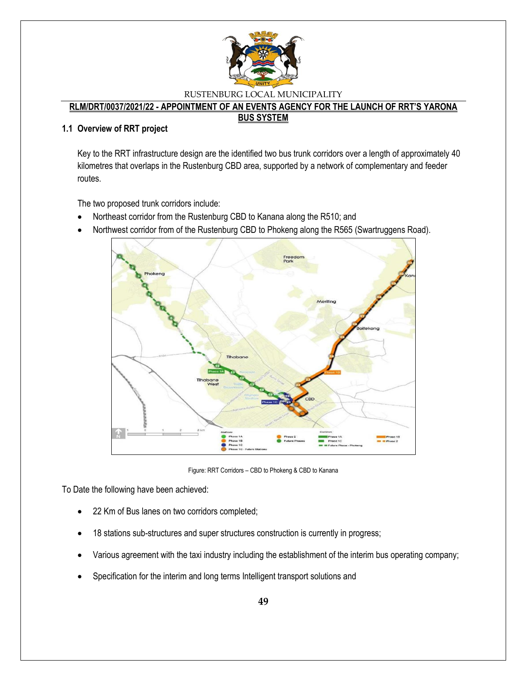

### **RLM/DRT/0037/2021/22 - APPOINTMENT OF AN EVENTS AGENCY FOR THE LAUNCH OF RRT'S YARONA**

#### **BUS SYSTEM**

#### **1.1 Overview of RRT project**

Key to the RRT infrastructure design are the identified two bus trunk corridors over a length of approximately 40 kilometres that overlaps in the Rustenburg CBD area, supported by a network of complementary and feeder routes.

The two proposed trunk corridors include:

- Northeast corridor from the Rustenburg CBD to Kanana along the R510; and
- Northwest corridor from of the Rustenburg CBD to Phokeng along the R565 (Swartruggens Road).



Figure: RRT Corridors – CBD to Phokeng & CBD to Kanana

To Date the following have been achieved:

- 22 Km of Bus lanes on two corridors completed;
- 18 stations sub-structures and super structures construction is currently in progress;
- Various agreement with the taxi industry including the establishment of the interim bus operating company;
- Specification for the interim and long terms Intelligent transport solutions and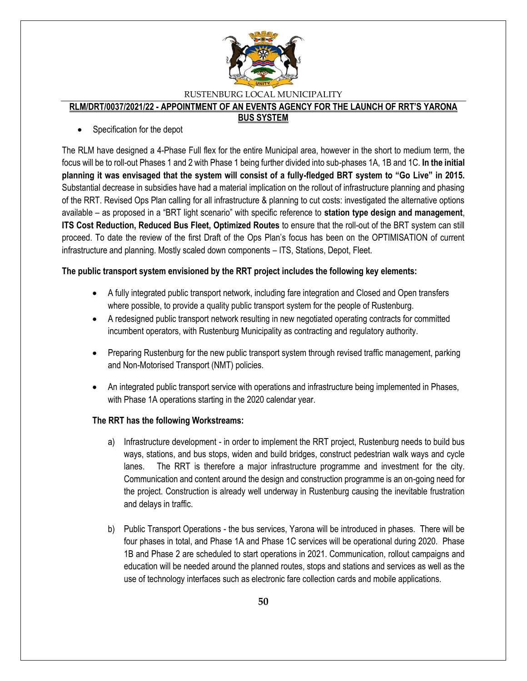

#### **RLM/DRT/0037/2021/22 - APPOINTMENT OF AN EVENTS AGENCY FOR THE LAUNCH OF RRT'S YARONA**

#### **BUS SYSTEM**

Specification for the depot

The RLM have designed a 4-Phase Full flex for the entire Municipal area, however in the short to medium term, the focus will be to roll-out Phases 1 and 2 with Phase 1 being further divided into sub-phases 1A, 1B and 1C. **In the initial planning it was envisaged that the system will consist of a fully-fledged BRT system to "Go Live" in 2015.**  Substantial decrease in subsidies have had a material implication on the rollout of infrastructure planning and phasing of the RRT. Revised Ops Plan calling for all infrastructure & planning to cut costs: investigated the alternative options available – as proposed in a "BRT light scenario" with specific reference to **station type design and management**, **ITS Cost Reduction, Reduced Bus Fleet, Optimized Routes** to ensure that the roll-out of the BRT system can still proceed. To date the review of the first Draft of the Ops Plan's focus has been on the OPTIMISATION of current infrastructure and planning. Mostly scaled down components – ITS, Stations, Depot, Fleet.

### **The public transport system envisioned by the RRT project includes the following key elements:**

- A fully integrated public transport network, including fare integration and Closed and Open transfers where possible, to provide a quality public transport system for the people of Rustenburg.
- A redesigned public transport network resulting in new negotiated operating contracts for committed incumbent operators, with Rustenburg Municipality as contracting and regulatory authority.
- Preparing Rustenburg for the new public transport system through revised traffic management, parking and Non-Motorised Transport (NMT) policies.
- An integrated public transport service with operations and infrastructure being implemented in Phases, with Phase 1A operations starting in the 2020 calendar year.

### **The RRT has the following Workstreams:**

- a) Infrastructure development in order to implement the RRT project, Rustenburg needs to build bus ways, stations, and bus stops, widen and build bridges, construct pedestrian walk ways and cycle lanes. The RRT is therefore a major infrastructure programme and investment for the city. Communication and content around the design and construction programme is an on-going need for the project. Construction is already well underway in Rustenburg causing the inevitable frustration and delays in traffic.
- b) Public Transport Operations the bus services, Yarona will be introduced in phases. There will be four phases in total, and Phase 1A and Phase 1C services will be operational during 2020. Phase 1B and Phase 2 are scheduled to start operations in 2021. Communication, rollout campaigns and education will be needed around the planned routes, stops and stations and services as well as the use of technology interfaces such as electronic fare collection cards and mobile applications.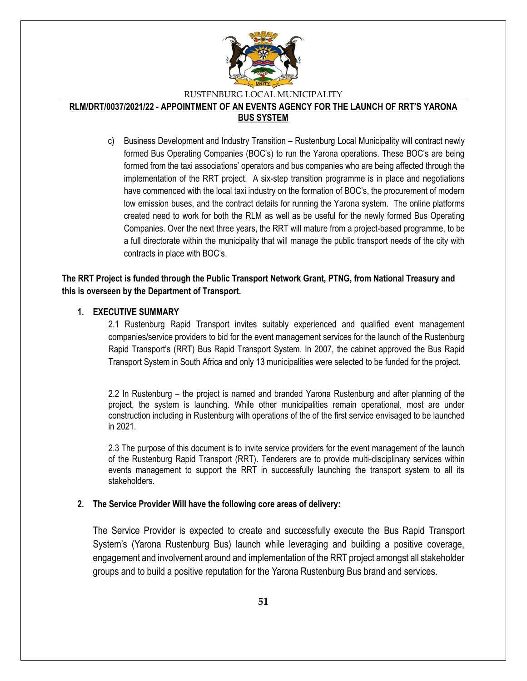

#### **RLM/DRT/0037/2021/22 - APPOINTMENT OF AN EVENTS AGENCY FOR THE LAUNCH OF RRT'S YARONA BUS SYSTEM**

c) Business Development and Industry Transition – Rustenburg Local Municipality will contract newly formed Bus Operating Companies (BOC's) to run the Yarona operations. These BOC's are being formed from the taxi associations' operators and bus companies who are being affected through the implementation of the RRT project. A six-step transition programme is in place and negotiations have commenced with the local taxi industry on the formation of BOC's, the procurement of modern low emission buses, and the contract details for running the Yarona system. The online platforms created need to work for both the RLM as well as be useful for the newly formed Bus Operating Companies. Over the next three years, the RRT will mature from a project-based programme, to be a full directorate within the municipality that will manage the public transport needs of the city with contracts in place with BOC's.

### **The RRT Project is funded through the Public Transport Network Grant, PTNG, from National Treasury and this is overseen by the Department of Transport.**

#### **1. EXECUTIVE SUMMARY**

2.1 Rustenburg Rapid Transport invites suitably experienced and qualified event management companies/service providers to bid for the event management services for the launch of the Rustenburg Rapid Transport's (RRT) Bus Rapid Transport System. In 2007, the cabinet approved the Bus Rapid Transport System in South Africa and only 13 municipalities were selected to be funded for the project.

2.2 In Rustenburg – the project is named and branded Yarona Rustenburg and after planning of the project, the system is launching. While other municipalities remain operational, most are under construction including in Rustenburg with operations of the of the first service envisaged to be launched in 2021.

2.3 The purpose of this document is to invite service providers for the event management of the launch of the Rustenburg Rapid Transport (RRT). Tenderers are to provide multi-disciplinary services within events management to support the RRT in successfully launching the transport system to all its stakeholders.

#### **2. The Service Provider Will have the following core areas of delivery:**

The Service Provider is expected to create and successfully execute the Bus Rapid Transport System's (Yarona Rustenburg Bus) launch while leveraging and building a positive coverage, engagement and involvement around and implementation of the RRT project amongst all stakeholder groups and to build a positive reputation for the Yarona Rustenburg Bus brand and services.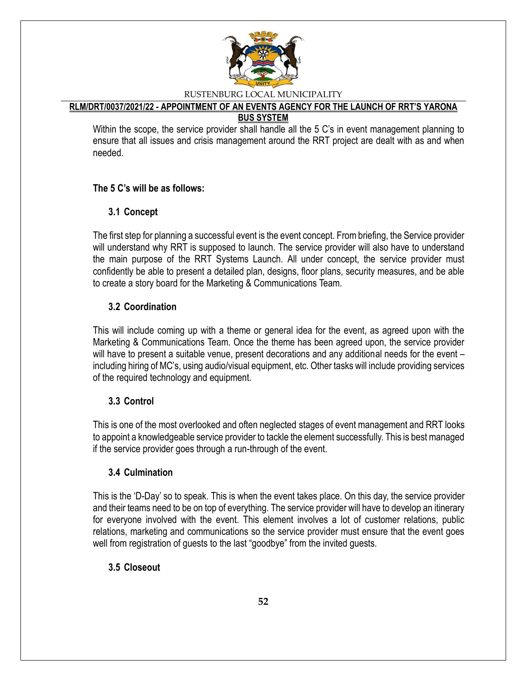

# **RLM/DRT/0037/2021/22 - APPOINTMENT OF AN EVENTS AGENCY FOR THE LAUNCH OF RRT'S YARONA**

### **BUS SYSTEM**

Within the scope, the service provider shall handle all the 5 C's in event management planning to ensure that all issues and crisis management around the RRT project are dealt with as and when needed.

### **The 5 C's will be as follows:**

### **3.1 Concept**

The first step for planning a successful event is the event concept. From briefing, the Service provider will understand why RRT is supposed to launch. The service provider will also have to understand the main purpose of the RRT Systems Launch. All under concept, the service provider must confidently be able to present a detailed plan, designs, floor plans, security measures, and be able to create a story board for the Marketing & Communications Team.

### **3.2 Coordination**

This will include coming up with a theme or general idea for the event, as agreed upon with the Marketing & Communications Team. Once the theme has been agreed upon, the service provider will have to present a suitable venue, present decorations and any additional needs for the event – including hiring of MC's, using audio/visual equipment, etc. Other tasks will include providing services of the required technology and equipment.

### **3.3 Control**

This is one of the most overlooked and often neglected stages of event management and RRT looks to appoint a knowledgeable service provider to tackle the element successfully. This is best managed if the service provider goes through a run-through of the event.

### **3.4 Culmination**

This is the 'D-Day' so to speak. This is when the event takes place. On this day, the service provider and their teams need to be on top of everything. The service provider will have to develop an itinerary for everyone involved with the event. This element involves a lot of customer relations, public relations, marketing and communications so the service provider must ensure that the event goes well from registration of guests to the last "goodbye" from the invited guests.

### **3.5 Closeout**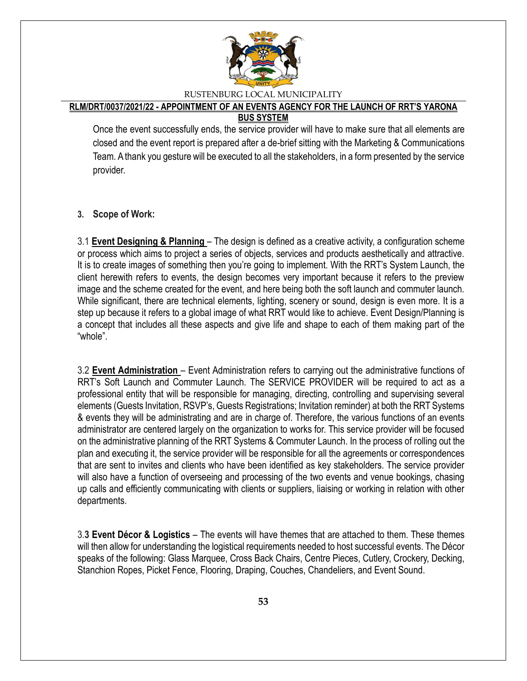

#### **RLM/DRT/0037/2021/22 - APPOINTMENT OF AN EVENTS AGENCY FOR THE LAUNCH OF RRT'S YARONA BUS SYSTEM**

Once the event successfully ends, the service provider will have to make sure that all elements are closed and the event report is prepared after a de-brief sitting with the Marketing & Communications Team. A thank you gesture will be executed to all the stakeholders, in a form presented by the service provider.

**3. Scope of Work:**

3.1 **Event Designing & Planning** – The design is defined as a creative activity, a configuration scheme or process which aims to project a series of objects, services and products aesthetically and attractive. It is to create images of something then you're going to implement. With the RRT's System Launch, the client herewith refers to events, the design becomes very important because it refers to the preview image and the scheme created for the event, and here being both the soft launch and commuter launch. While significant, there are technical elements, lighting, scenery or sound, design is even more. It is a step up because it refers to a global image of what RRT would like to achieve. Event Design/Planning is a concept that includes all these aspects and give life and shape to each of them making part of the "whole".

3.2 **Event Administration** – Event Administration refers to carrying out the administrative functions of RRT's Soft Launch and Commuter Launch. The SERVICE PROVIDER will be required to act as a professional entity that will be responsible for managing, directing, controlling and supervising several elements (Guests Invitation, RSVP's, Guests Registrations; Invitation reminder) at both the RRT Systems & events they will be administrating and are in charge of. Therefore, the various functions of an events administrator are centered largely on the organization to works for. This service provider will be focused on the administrative planning of the RRT Systems & Commuter Launch. In the process of rolling out the plan and executing it, the service provider will be responsible for all the agreements or correspondences that are sent to invites and clients who have been identified as key stakeholders. The service provider will also have a function of overseeing and processing of the two events and venue bookings, chasing up calls and efficiently communicating with clients or suppliers, liaising or working in relation with other departments.

3.**3 Event Décor & Logistics** – The events will have themes that are attached to them. These themes will then allow for understanding the logistical requirements needed to host successful events. The Décor speaks of the following: Glass Marquee, Cross Back Chairs, Centre Pieces, Cutlery, Crockery, Decking, Stanchion Ropes, Picket Fence, Flooring, Draping, Couches, Chandeliers, and Event Sound.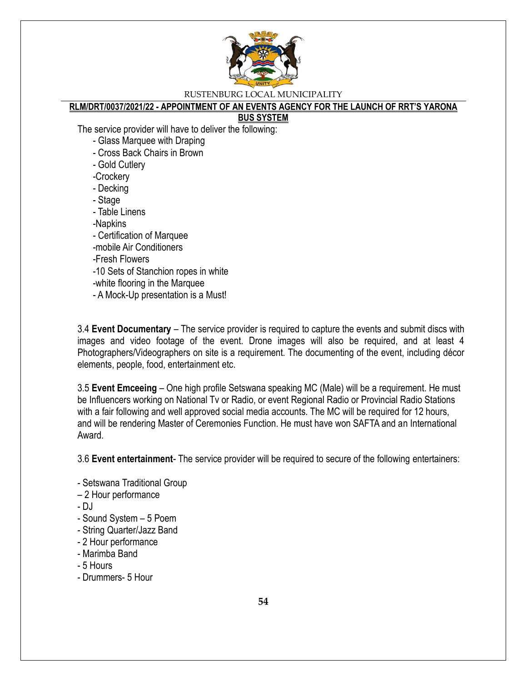

### **RLM/DRT/0037/2021/22 - APPOINTMENT OF AN EVENTS AGENCY FOR THE LAUNCH OF RRT'S YARONA**

#### **BUS SYSTEM**

The service provider will have to deliver the following:

- Glass Marquee with Draping
- Cross Back Chairs in Brown
- Gold Cutlery
- -Crockery
- Decking
- Stage
- Table Linens
- -Napkins
- Certification of Marquee
- -mobile Air Conditioners

### -Fresh Flowers

- -10 Sets of Stanchion ropes in white
- -white flooring in the Marquee
- A Mock-Up presentation is a Must!

3.4 **Event Documentary** – The service provider is required to capture the events and submit discs with images and video footage of the event. Drone images will also be required, and at least 4 Photographers/Videographers on site is a requirement. The documenting of the event, including décor elements, people, food, entertainment etc.

3.5 **Event Emceeing** – One high profile Setswana speaking MC (Male) will be a requirement. He must be Influencers working on National Tv or Radio, or event Regional Radio or Provincial Radio Stations with a fair following and well approved social media accounts. The MC will be required for 12 hours, and will be rendering Master of Ceremonies Function. He must have won SAFTA and an International Award.

3.6 **Event entertainment**- The service provider will be required to secure of the following entertainers:

- Setswana Traditional Group
- 2 Hour performance
- DJ
- Sound System 5 Poem
- String Quarter/Jazz Band
- 2 Hour performance
- Marimba Band
- 5 Hours
- Drummers- 5 Hour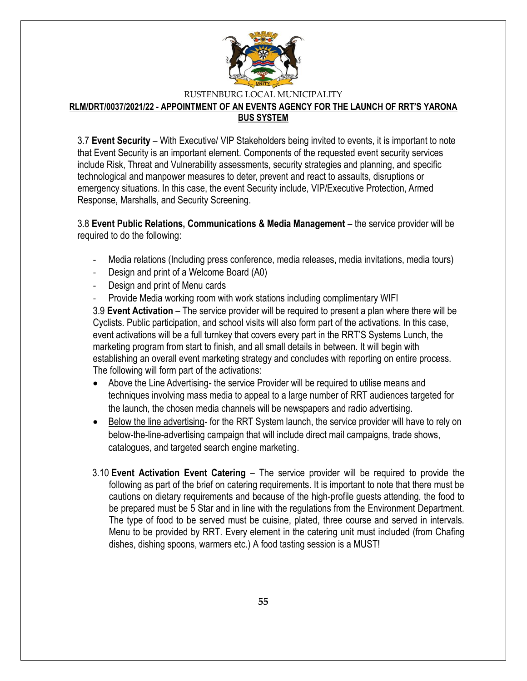

**RLM/DRT/0037/2021/22 - APPOINTMENT OF AN EVENTS AGENCY FOR THE LAUNCH OF RRT'S YARONA BUS SYSTEM**

3.7 **Event Security** – With Executive/ VIP Stakeholders being invited to events, it is important to note that Event Security is an important element. Components of the requested event security services include Risk, Threat and Vulnerability assessments, security strategies and planning, and specific technological and manpower measures to deter, prevent and react to assaults, disruptions or emergency situations. In this case, the event Security include, VIP/Executive Protection, Armed Response, Marshalls, and Security Screening.

3.8 **Event Public Relations, Communications & Media Management** – the service provider will be required to do the following:

- Media relations (Including press conference, media releases, media invitations, media tours)
- Design and print of a Welcome Board (A0)
- Design and print of Menu cards
- Provide Media working room with work stations including complimentary WIFI

3.9 **Event Activation** – The service provider will be required to present a plan where there will be Cyclists. Public participation, and school visits will also form part of the activations. In this case, event activations will be a full turnkey that covers every part in the RRT'S Systems Lunch, the marketing program from start to finish, and all small details in between. It will begin with establishing an overall event marketing strategy and concludes with reporting on entire process. The following will form part of the activations:

- Above the Line Advertising- the service Provider will be required to utilise means and techniques involving mass media to appeal to a large number of RRT audiences targeted for the launch, the chosen media channels will be newspapers and radio advertising.
- Below the line advertising- for the RRT System launch, the service provider will have to rely on below-the-line-advertising campaign that will include direct mail campaigns, trade shows, catalogues, and targeted search engine marketing.
- 3.10 **Event Activation Event Catering** The service provider will be required to provide the following as part of the brief on catering requirements. It is important to note that there must be cautions on dietary requirements and because of the high-profile guests attending, the food to be prepared must be 5 Star and in line with the regulations from the Environment Department. The type of food to be served must be cuisine, plated, three course and served in intervals. Menu to be provided by RRT. Every element in the catering unit must included (from Chafing dishes, dishing spoons, warmers etc.) A food tasting session is a MUST!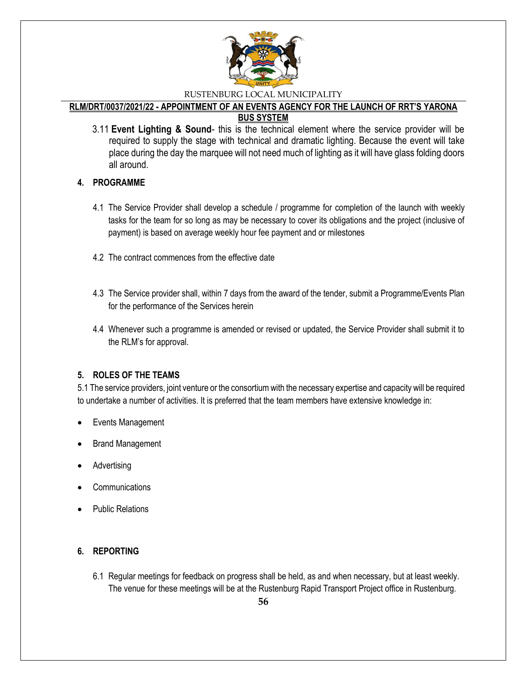

#### **RLM/DRT/0037/2021/22 - APPOINTMENT OF AN EVENTS AGENCY FOR THE LAUNCH OF RRT'S YARONA BUS SYSTEM**

3.11 **Event Lighting & Sound**- this is the technical element where the service provider will be required to supply the stage with technical and dramatic lighting. Because the event will take place during the day the marquee will not need much of lighting as it will have glass folding doors all around.

### **4. PROGRAMME**

- 4.1 The Service Provider shall develop a schedule / programme for completion of the launch with weekly tasks for the team for so long as may be necessary to cover its obligations and the project (inclusive of payment) is based on average weekly hour fee payment and or milestones
- 4.2 The contract commences from the effective date
- 4.3 The Service provider shall, within 7 days from the award of the tender, submit a Programme/Events Plan for the performance of the Services herein
- 4.4 Whenever such a programme is amended or revised or updated, the Service Provider shall submit it to the RLM's for approval.

### **5. ROLES OF THE TEAMS**

5.1 The service providers, joint venture or the consortium with the necessary expertise and capacity will be required to undertake a number of activities. It is preferred that the team members have extensive knowledge in:

- Events Management
- Brand Management
- Advertising
- **Communications**
- Public Relations

### **6. REPORTING**

6.1 Regular meetings for feedback on progress shall be held, as and when necessary, but at least weekly. The venue for these meetings will be at the Rustenburg Rapid Transport Project office in Rustenburg.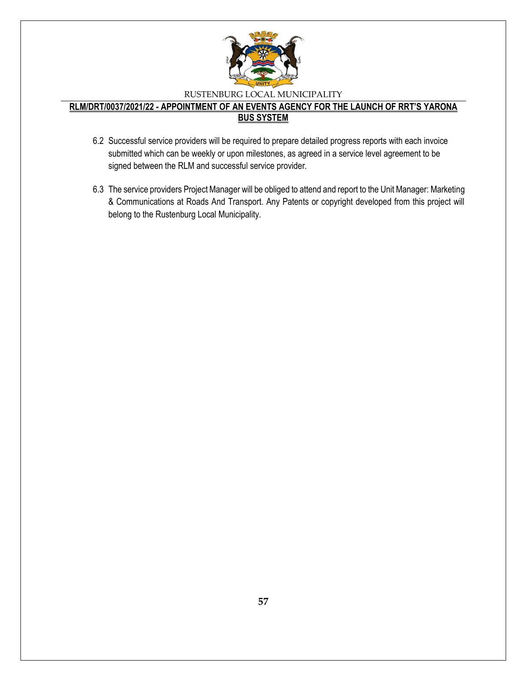

- 6.2 Successful service providers will be required to prepare detailed progress reports with each invoice submitted which can be weekly or upon milestones, as agreed in a service level agreement to be signed between the RLM and successful service provider.
- 6.3 The service providers Project Manager will be obliged to attend and report to the Unit Manager: Marketing & Communications at Roads And Transport. Any Patents or copyright developed from this project will belong to the Rustenburg Local Municipality.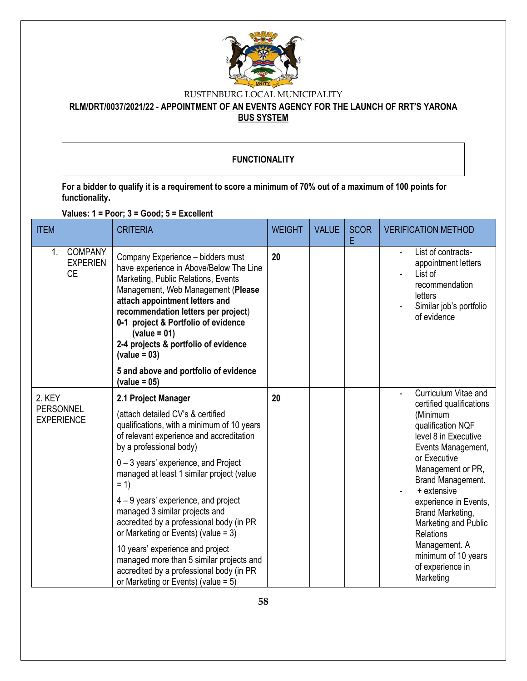

### **RLM/DRT/0037/2021/22 - APPOINTMENT OF AN EVENTS AGENCY FOR THE LAUNCH OF RRT'S YARONA BUS SYSTEM**

### **FUNCTIONALITY**

**For a bidder to qualify it is a requirement to score a minimum of 70% out of a maximum of 100 points for functionality.**

**Values: 1 = Poor; 3 = Good; 5 = Excellent**

| <b>ITEM</b>                                          | <b>CRITERIA</b>                                                                                                                                                                                                                                                                                                                                                                                                                                                                                                                                                                                                 | <b>WEIGHT</b> | <b>VALUE</b> | <b>SCOR</b><br>Е | <b>VERIFICATION METHOD</b>                                                                                                                                                                                                                                                                                                                                          |
|------------------------------------------------------|-----------------------------------------------------------------------------------------------------------------------------------------------------------------------------------------------------------------------------------------------------------------------------------------------------------------------------------------------------------------------------------------------------------------------------------------------------------------------------------------------------------------------------------------------------------------------------------------------------------------|---------------|--------------|------------------|---------------------------------------------------------------------------------------------------------------------------------------------------------------------------------------------------------------------------------------------------------------------------------------------------------------------------------------------------------------------|
| <b>COMPANY</b><br>1.<br><b>EXPERIEN</b><br><b>CE</b> | Company Experience - bidders must<br>have experience in Above/Below The Line<br>Marketing, Public Relations, Events<br>Management, Web Management (Please<br>attach appointment letters and<br>recommendation letters per project)<br>0-1 project & Portfolio of evidence<br>$\text{(value = } 01)$<br>2-4 projects & portfolio of evidence<br>$\text{(value = } 03)$                                                                                                                                                                                                                                           | 20            |              |                  | List of contracts-<br>appointment letters<br>List of<br>recommendation<br>letters<br>Similar job's portfolio<br>of evidence                                                                                                                                                                                                                                         |
|                                                      | 5 and above and portfolio of evidence<br>$\text{(value = 05)}$                                                                                                                                                                                                                                                                                                                                                                                                                                                                                                                                                  |               |              |                  |                                                                                                                                                                                                                                                                                                                                                                     |
| 2. KEY<br>PERSONNEL<br><b>EXPERIENCE</b>             | 2.1 Project Manager<br>(attach detailed CV's & certified<br>qualifications, with a minimum of 10 years<br>of relevant experience and accreditation<br>by a professional body)<br>0-3 years' experience, and Project<br>managed at least 1 similar project (value<br>$= 1$<br>4 – 9 years' experience, and project<br>managed 3 similar projects and<br>accredited by a professional body (in PR<br>or Marketing or Events) (value = $3$ )<br>10 years' experience and project<br>managed more than 5 similar projects and<br>accredited by a professional body (in PR<br>or Marketing or Events) (value = $5$ ) | 20            |              |                  | Curriculum Vitae and<br>certified qualifications<br>(Minimum<br>qualification NQF<br>level 8 in Executive<br>Events Management,<br>or Executive<br>Management or PR,<br>Brand Management.<br>+ extensive<br>experience in Events,<br>Brand Marketing,<br>Marketing and Public<br>Relations<br>Management. A<br>minimum of 10 years<br>of experience in<br>Marketing |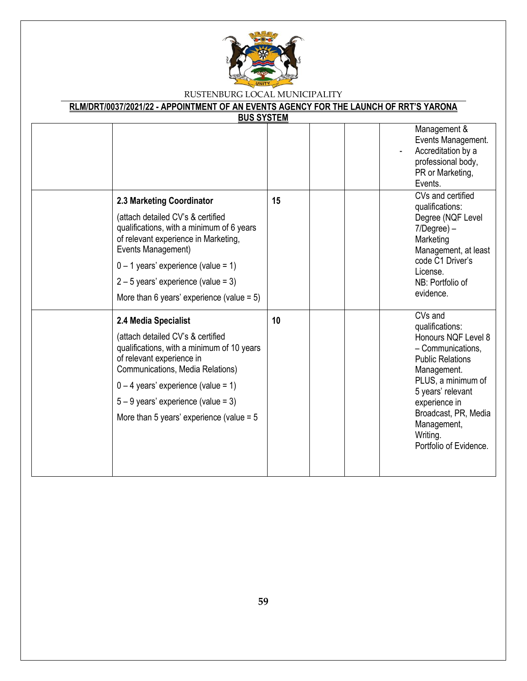

| <b>BUS SYSTEM</b> |                                                                                                                                                                                                                                                                                                             |    |  |                                                                                                                                                                                                                                                           |
|-------------------|-------------------------------------------------------------------------------------------------------------------------------------------------------------------------------------------------------------------------------------------------------------------------------------------------------------|----|--|-----------------------------------------------------------------------------------------------------------------------------------------------------------------------------------------------------------------------------------------------------------|
|                   |                                                                                                                                                                                                                                                                                                             |    |  | Management &<br>Events Management.<br>Accreditation by a<br>professional body,<br>PR or Marketing,<br>Events.                                                                                                                                             |
|                   | 2.3 Marketing Coordinator<br>(attach detailed CV's & certified<br>qualifications, with a minimum of 6 years<br>of relevant experience in Marketing,<br>Events Management)<br>$0 - 1$ years' experience (value = 1)<br>$2 - 5$ years' experience (value = 3)<br>More than 6 years' experience (value = $5$ ) | 15 |  | CVs and certified<br>qualifications:<br>Degree (NQF Level<br>$7/Degree$ ) –<br>Marketing<br>Management, at least<br>code C1 Driver's<br>License.<br>NB: Portfolio of<br>evidence.                                                                         |
|                   | 2.4 Media Specialist<br>(attach detailed CV's & certified<br>qualifications, with a minimum of 10 years<br>of relevant experience in<br>Communications, Media Relations)<br>$0 - 4$ years' experience (value = 1)<br>$5 - 9$ years' experience (value = 3)<br>More than 5 years' experience (value = $5$    | 10 |  | CVs and<br>qualifications:<br>Honours NQF Level 8<br>- Communications,<br><b>Public Relations</b><br>Management.<br>PLUS, a minimum of<br>5 years' relevant<br>experience in<br>Broadcast, PR, Media<br>Management,<br>Writing.<br>Portfolio of Evidence. |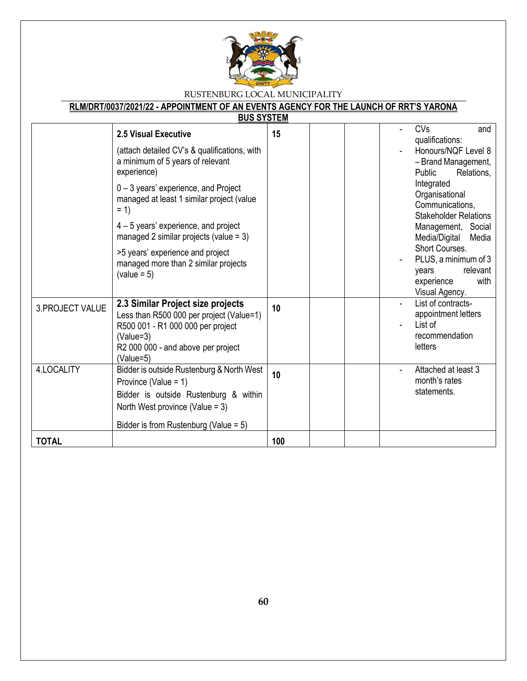

|                  | <u>BUS STSIEM</u>                                                                                                                                                                                                                                                                                                                                                                                           |     |  |                                                                                                                                                                                                                                                                                                                                               |
|------------------|-------------------------------------------------------------------------------------------------------------------------------------------------------------------------------------------------------------------------------------------------------------------------------------------------------------------------------------------------------------------------------------------------------------|-----|--|-----------------------------------------------------------------------------------------------------------------------------------------------------------------------------------------------------------------------------------------------------------------------------------------------------------------------------------------------|
|                  | 2.5 Visual Executive<br>(attach detailed CV's & qualifications, with<br>a minimum of 5 years of relevant<br>experience)<br>$0 - 3$ years' experience, and Project<br>managed at least 1 similar project (value<br>$= 1$<br>$4 - 5$ years' experience, and project<br>managed 2 similar projects (value = $3$ )<br>>5 years' experience and project<br>managed more than 2 similar projects<br>$(value = 5)$ | 15  |  | CVs<br>and<br>qualifications:<br>Honours/NQF Level 8<br>- Brand Management,<br>Relations.<br>Public<br>Integrated<br>Organisational<br>Communications,<br><b>Stakeholder Relations</b><br>Management, Social<br>Media/Digital<br>Media<br>Short Courses.<br>PLUS, a minimum of 3<br>relevant<br>years<br>with<br>experience<br>Visual Agency. |
| 3. PROJECT VALUE | 2.3 Similar Project size projects<br>Less than R500 000 per project (Value=1)<br>R500 001 - R1 000 000 per project<br>$(Value=3)$<br>R2 000 000 - and above per project<br>(Value=5)                                                                                                                                                                                                                        | 10  |  | List of contracts-<br>appointment letters<br>List of<br>recommendation<br>letters                                                                                                                                                                                                                                                             |
| 4.LOCALITY       | Bidder is outside Rustenburg & North West<br>Province (Value = 1)<br>Bidder is outside Rustenburg & within<br>North West province (Value = $3$ )<br>Bidder is from Rustenburg (Value = $5$ )                                                                                                                                                                                                                | 10  |  | Attached at least 3<br>$\blacksquare$<br>month's rates<br>statements.                                                                                                                                                                                                                                                                         |
| <b>TOTAL</b>     |                                                                                                                                                                                                                                                                                                                                                                                                             | 100 |  |                                                                                                                                                                                                                                                                                                                                               |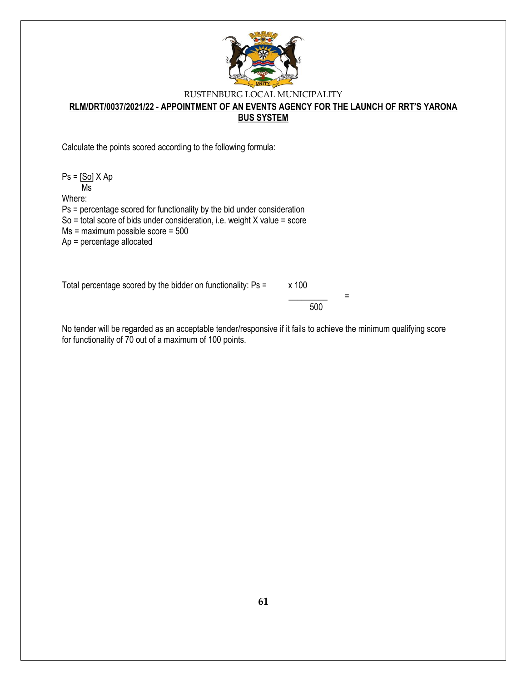

#### **RLM/DRT/0037/2021/22 - APPOINTMENT OF AN EVENTS AGENCY FOR THE LAUNCH OF RRT'S YARONA BUS SYSTEM**

Calculate the points scored according to the following formula:

 $Ps = [So] X Ap$  Ms Where: Ps = percentage scored for functionality by the bid under consideration So = total score of bids under consideration, i.e. weight X value = score

Ms = maximum possible score = 500

Ap = percentage allocated

Total percentage scored by the bidder on functionality:  $Ps = x 100$ 

 \_\_\_\_\_\_\_\_\_ = 500

No tender will be regarded as an acceptable tender/responsive if it fails to achieve the minimum qualifying score for functionality of 70 out of a maximum of 100 points.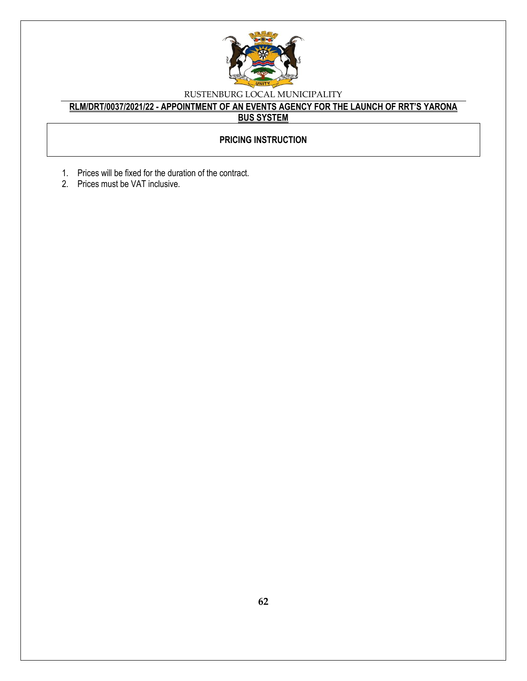

### **RLM/DRT/0037/2021/22 - APPOINTMENT OF AN EVENTS AGENCY FOR THE LAUNCH OF RRT'S YARONA BUS SYSTEM**

### **PRICING INSTRUCTION**

- 1. Prices will be fixed for the duration of the contract.
- 2. Prices must be VAT inclusive.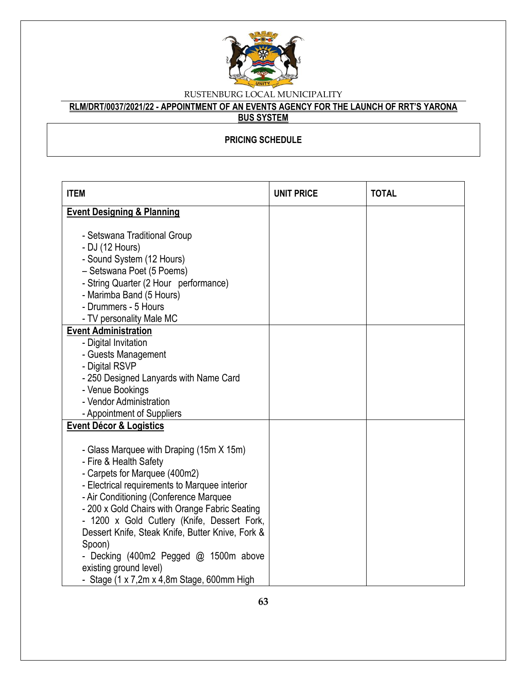

# **RLM/DRT/0037/2021/22 - APPOINTMENT OF AN EVENTS AGENCY FOR THE LAUNCH OF RRT'S YARONA**

### **BUS SYSTEM**

### **PRICING SCHEDULE**

| <b>ITEM</b>                                                                                                                                                                                                                                                                                                                                                                                                                                                                                 | <b>UNIT PRICE</b> | <b>TOTAL</b> |
|---------------------------------------------------------------------------------------------------------------------------------------------------------------------------------------------------------------------------------------------------------------------------------------------------------------------------------------------------------------------------------------------------------------------------------------------------------------------------------------------|-------------------|--------------|
| <b>Event Designing &amp; Planning</b>                                                                                                                                                                                                                                                                                                                                                                                                                                                       |                   |              |
| - Setswana Traditional Group<br>- DJ (12 Hours)<br>- Sound System (12 Hours)<br>- Setswana Poet (5 Poems)<br>- String Quarter (2 Hour performance)<br>- Marimba Band (5 Hours)<br>- Drummers - 5 Hours<br>- TV personality Male MC                                                                                                                                                                                                                                                          |                   |              |
| <b>Event Administration</b>                                                                                                                                                                                                                                                                                                                                                                                                                                                                 |                   |              |
| - Digital Invitation                                                                                                                                                                                                                                                                                                                                                                                                                                                                        |                   |              |
| - Guests Management                                                                                                                                                                                                                                                                                                                                                                                                                                                                         |                   |              |
| - Digital RSVP                                                                                                                                                                                                                                                                                                                                                                                                                                                                              |                   |              |
| - 250 Designed Lanyards with Name Card                                                                                                                                                                                                                                                                                                                                                                                                                                                      |                   |              |
| - Venue Bookings                                                                                                                                                                                                                                                                                                                                                                                                                                                                            |                   |              |
| - Vendor Administration                                                                                                                                                                                                                                                                                                                                                                                                                                                                     |                   |              |
| - Appointment of Suppliers                                                                                                                                                                                                                                                                                                                                                                                                                                                                  |                   |              |
| <b>Event Décor &amp; Logistics</b>                                                                                                                                                                                                                                                                                                                                                                                                                                                          |                   |              |
| - Glass Marquee with Draping (15m X 15m)<br>- Fire & Health Safety<br>- Carpets for Marquee (400m2)<br>- Electrical requirements to Marquee interior<br>- Air Conditioning (Conference Marquee<br>- 200 x Gold Chairs with Orange Fabric Seating<br>- 1200 x Gold Cutlery (Knife, Dessert Fork,<br>Dessert Knife, Steak Knife, Butter Knive, Fork &<br>Spoon)<br>- Decking (400m2 Pegged @ 1500m above<br>existing ground level)<br>- Stage $(1 \times 7,2m \times 4,8m)$ Stage, 600mm High |                   |              |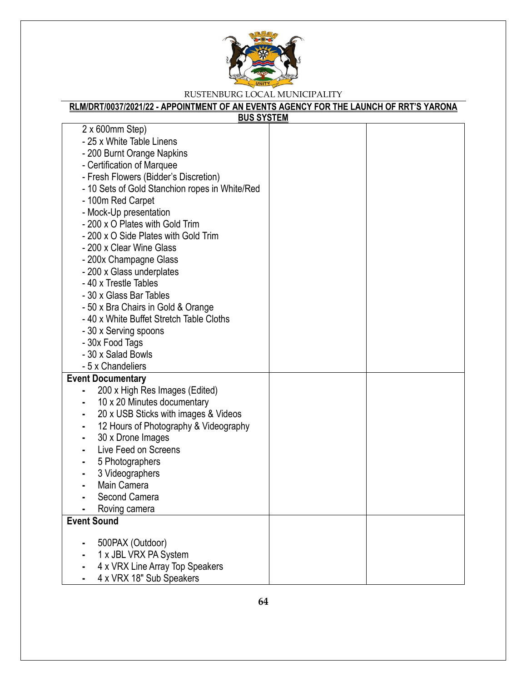

| <b>BUS SYSTEM</b>                                                                                                                                                                                                                                                                                                                                                                                                                                                                                                                                                                                                                |  |
|----------------------------------------------------------------------------------------------------------------------------------------------------------------------------------------------------------------------------------------------------------------------------------------------------------------------------------------------------------------------------------------------------------------------------------------------------------------------------------------------------------------------------------------------------------------------------------------------------------------------------------|--|
| $2 \times 600$ mm Step)<br>- 25 x White Table Linens<br>- 200 Burnt Orange Napkins<br>- Certification of Marquee<br>- Fresh Flowers (Bidder's Discretion)<br>- 10 Sets of Gold Stanchion ropes in White/Red<br>- 100m Red Carpet<br>- Mock-Up presentation<br>- 200 x O Plates with Gold Trim<br>- 200 x O Side Plates with Gold Trim<br>- 200 x Clear Wine Glass<br>- 200x Champagne Glass<br>- 200 x Glass underplates<br>- 40 x Trestle Tables<br>- 30 x Glass Bar Tables<br>- 50 x Bra Chairs in Gold & Orange<br>- 40 x White Buffet Stretch Table Cloths<br>- 30 x Serving spoons<br>- 30x Food Tags<br>- 30 x Salad Bowls |  |
| - 5 x Chandeliers<br><b>Event Documentary</b><br>200 x High Res Images (Edited)<br>10 x 20 Minutes documentary<br>20 x USB Sticks with images & Videos<br>12 Hours of Photography & Videography<br>30 x Drone Images<br>Live Feed on Screens<br>5 Photographers<br>3 Videographers<br>Main Camera<br>Second Camera<br>Roving camera                                                                                                                                                                                                                                                                                              |  |
| <b>Event Sound</b>                                                                                                                                                                                                                                                                                                                                                                                                                                                                                                                                                                                                               |  |
| 500PAX (Outdoor)<br>1 x JBL VRX PA System<br>4 x VRX Line Array Top Speakers<br>4 x VRX 18" Sub Speakers                                                                                                                                                                                                                                                                                                                                                                                                                                                                                                                         |  |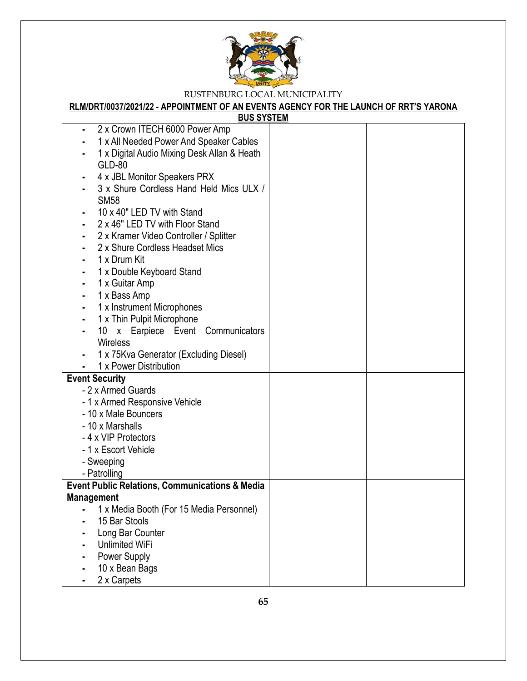

| <b>BUS SYSTEM</b>                                         |  |
|-----------------------------------------------------------|--|
| 2 x Crown ITECH 6000 Power Amp<br>٠                       |  |
| 1 x All Needed Power And Speaker Cables                   |  |
| 1 x Digital Audio Mixing Desk Allan & Heath               |  |
| GLD-80                                                    |  |
| 4 x JBL Monitor Speakers PRX                              |  |
| 3 x Shure Cordless Hand Held Mics ULX /                   |  |
| <b>SM58</b>                                               |  |
| 10 x 40" LED TV with Stand                                |  |
| 2 x 46" LED TV with Floor Stand                           |  |
| 2 x Kramer Video Controller / Splitter                    |  |
| 2 x Shure Cordless Headset Mics                           |  |
| 1 x Drum Kit                                              |  |
| 1 x Double Keyboard Stand                                 |  |
| 1 x Guitar Amp                                            |  |
| 1 x Bass Amp                                              |  |
| 1 x Instrument Microphones                                |  |
| 1 x Thin Pulpit Microphone                                |  |
| 10 x Earpiece Event Communicators                         |  |
| Wireless                                                  |  |
| 1 x 75Kva Generator (Excluding Diesel)                    |  |
| 1 x Power Distribution                                    |  |
| <b>Event Security</b>                                     |  |
| - 2 x Armed Guards                                        |  |
| - 1 x Armed Responsive Vehicle                            |  |
| - 10 x Male Bouncers                                      |  |
| - 10 x Marshalls                                          |  |
| -4 x VIP Protectors                                       |  |
| - 1 x Escort Vehicle                                      |  |
| - Sweeping                                                |  |
| - Patrolling                                              |  |
| <b>Event Public Relations, Communications &amp; Media</b> |  |
| Management                                                |  |
| 1 x Media Booth (For 15 Media Personnel)                  |  |
| 15 Bar Stools                                             |  |
| Long Bar Counter                                          |  |
| <b>Unlimited WiFi</b>                                     |  |
| Power Supply                                              |  |
| 10 x Bean Bags                                            |  |
| 2 x Carpets                                               |  |